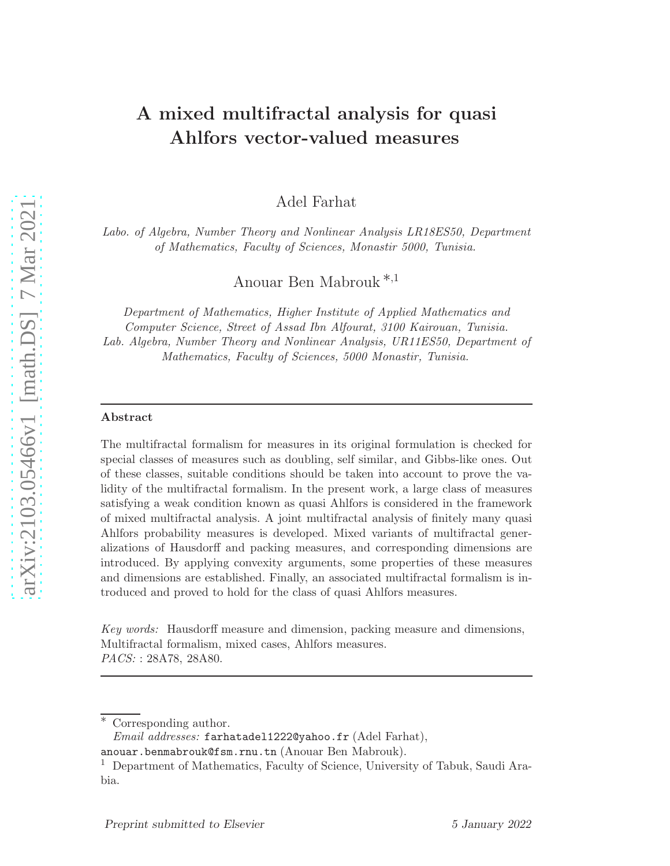# A mixed multifractal analysis for quasi Ahlfors vector-valued measures

Adel Farhat

*Labo. of Algebra, Number Theory and Nonlinear Analysis LR18ES50, Department of Mathematics, Faculty of Sciences, Monastir 5000, Tunisia.*

Anouar Ben Mabrouk ∗,<sup>1</sup>

*Department of Mathematics, Higher Institute of Applied Mathematics and Computer Science, Street of Assad Ibn Alfourat, 3100 Kairouan, Tunisia. Lab. Algebra, Number Theory and Nonlinear Analysis, UR11ES50, Department of Mathematics, Faculty of Sciences, 5000 Monastir, Tunisia.*

#### Abstract

The multifractal formalism for measures in its original formulation is checked for special classes of measures such as doubling, self similar, and Gibbs-like ones. Out of these classes, suitable conditions should be taken into account to prove the validity of the multifractal formalism. In the present work, a large class of measures satisfying a weak condition known as quasi Ahlfors is considered in the framework of mixed multifractal analysis. A joint multifractal analysis of finitely many quasi Ahlfors probability measures is developed. Mixed variants of multifractal generalizations of Hausdorff and packing measures, and corresponding dimensions are introduced. By applying convexity arguments, some properties of these measures and dimensions are established. Finally, an associated multifractal formalism is introduced and proved to hold for the class of quasi Ahlfors measures.

*Key words:* Hausdorff measure and dimension, packing measure and dimensions, Multifractal formalism, mixed cases, Ahlfors measures. *PACS:* : 28A78, 28A80.

Corresponding author.

*Email addresses:* farhatadel1222@yahoo.fr (Adel Farhat),

anouar.benmabrouk@fsm.rnu.tn (Anouar Ben Mabrouk).

<sup>1</sup> Department of Mathematics, Faculty of Science, University of Tabuk, Saudi Arabia.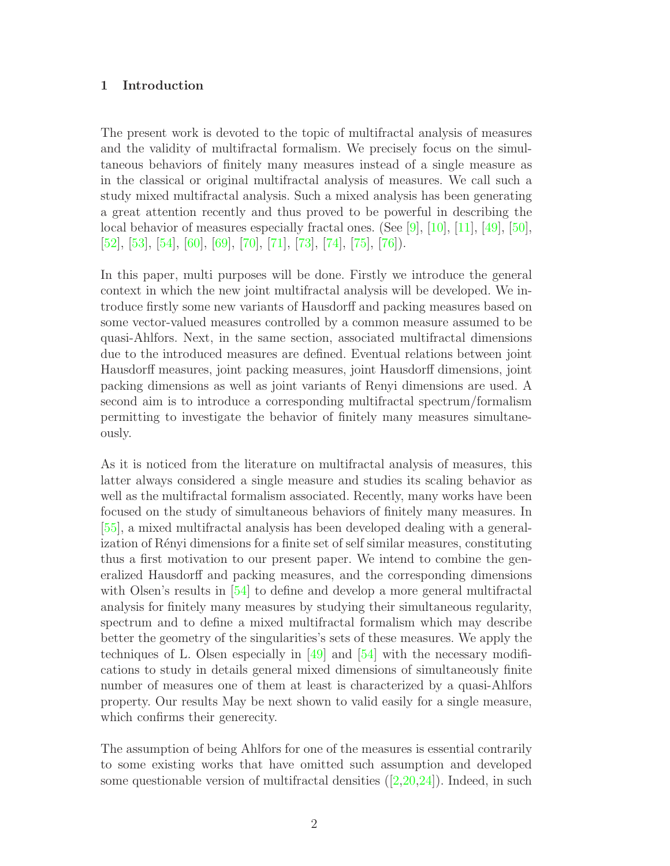#### 1 Introduction

The present work is devoted to the topic of multifractal analysis of measures and the validity of multifractal formalism. We precisely focus on the simultaneous behaviors of finitely many measures instead of a single measure as in the classical or original multifractal analysis of measures. We call such a study mixed multifractal analysis. Such a mixed analysis has been generating a great attention recently and thus proved to be powerful in describing the local behavior of measures especially fractal ones. (See [\[9\]](#page-29-0), [\[10\]](#page-29-1), [\[11\]](#page-29-2), [\[49\]](#page-31-0), [\[50\]](#page-32-0), [\[52\]](#page-32-1), [\[53\]](#page-32-2), [\[54\]](#page-32-3), [\[60\]](#page-32-4), [\[69\]](#page-33-0), [\[70\]](#page-33-1), [\[71\]](#page-33-2), [\[73\]](#page-33-3), [\[74\]](#page-33-4), [\[75\]](#page-33-5), [\[76\]](#page-33-6)).

In this paper, multi purposes will be done. Firstly we introduce the general context in which the new joint multifractal analysis will be developed. We introduce firstly some new variants of Hausdorff and packing measures based on some vector-valued measures controlled by a common measure assumed to be quasi-Ahlfors. Next, in the same section, associated multifractal dimensions due to the introduced measures are defined. Eventual relations between joint Hausdorff measures, joint packing measures, joint Hausdorff dimensions, joint packing dimensions as well as joint variants of Renyi dimensions are used. A second aim is to introduce a corresponding multifractal spectrum/formalism permitting to investigate the behavior of finitely many measures simultaneously.

As it is noticed from the literature on multifractal analysis of measures, this latter always considered a single measure and studies its scaling behavior as well as the multifractal formalism associated. Recently, many works have been focused on the study of simultaneous behaviors of finitely many measures. In [\[55\]](#page-32-5), a mixed multifractal analysis has been developed dealing with a generalization of Rényi dimensions for a finite set of self similar measures, constituting thus a first motivation to our present paper. We intend to combine the generalized Hausdorff and packing measures, and the corresponding dimensions with Olsen's results in [\[54\]](#page-32-3) to define and develop a more general multifractal analysis for finitely many measures by studying their simultaneous regularity, spectrum and to define a mixed multifractal formalism which may describe better the geometry of the singularities's sets of these measures. We apply the techniques of L. Olsen especially in  $[49]$  and  $[54]$  with the necessary modifications to study in details general mixed dimensions of simultaneously finite number of measures one of them at least is characterized by a quasi-Ahlfors property. Our results May be next shown to valid easily for a single measure, which confirms their generecity.

The assumption of being Ahlfors for one of the measures is essential contrarily to some existing works that have omitted such assumption and developed somequestionable version of multifractal densities  $([2,20,24])$  $([2,20,24])$  $([2,20,24])$  $([2,20,24])$  $([2,20,24])$ . Indeed, in such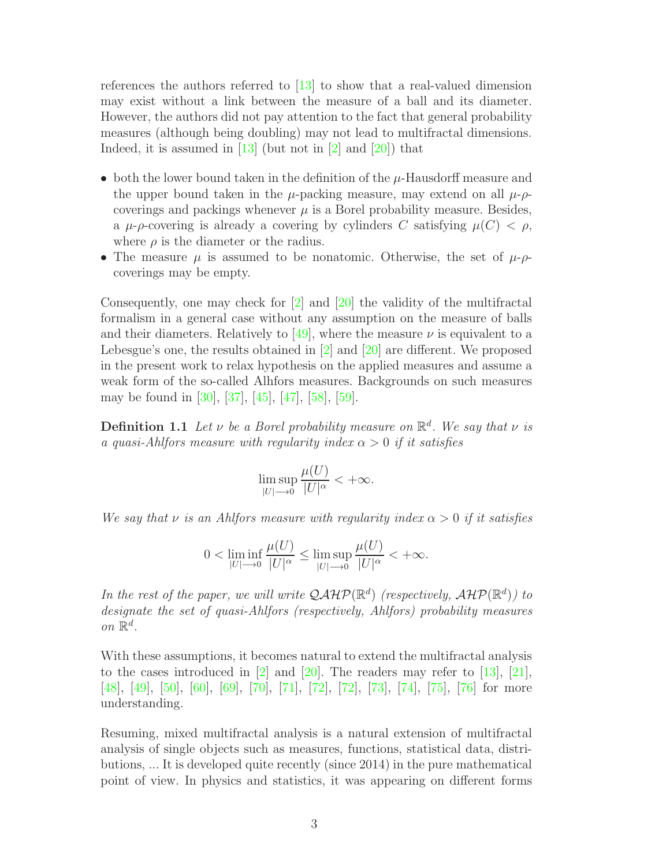references the authors referred to [\[13\]](#page-29-3) to show that a real-valued dimension may exist without a link between the measure of a ball and its diameter. However, the authors did not pay attention to the fact that general probability measures (although being doubling) may not lead to multifractal dimensions. Indeed, it is assumed in  $[13]$  (but not in  $[2]$  and  $[20]$ ) that

- both the lower bound taken in the definition of the  $\mu$ -Hausdorff measure and the upper bound taken in the  $\mu$ -packing measure, may extend on all  $\mu$ - $\rho$ coverings and packings whenever  $\mu$  is a Borel probability measure. Besides, a  $\mu$ - $\rho$ -covering is already a covering by cylinders C satisfying  $\mu(C) < \rho$ , where  $\rho$  is the diameter or the radius.
- The measure  $\mu$  is assumed to be nonatomic. Otherwise, the set of  $\mu$ - $\rho$ coverings may be empty.

Consequently, one may check for [\[2\]](#page-28-0) and [\[20\]](#page-30-0) the validity of the multifractal formalism in a general case without any assumption on the measure of balls and their diameters. Relatively to  $[49]$ , where the measure  $\nu$  is equivalent to a Lebesgue's one, the results obtained in [\[2\]](#page-28-0) and [\[20\]](#page-30-0) are different. We proposed in the present work to relax hypothesis on the applied measures and assume a weak form of the so-called Alhfors measures. Backgrounds on such measures may be found in [\[30\]](#page-30-2), [\[37\]](#page-31-1), [\[45\]](#page-31-2), [\[47\]](#page-31-3), [\[58\]](#page-32-6), [\[59\]](#page-32-7).

**Definition 1.1** Let  $\nu$  be a Borel probability measure on  $\mathbb{R}^d$ . We say that  $\nu$  is a quasi-Ahlfors measure with regularity index  $\alpha > 0$  if it satisfies

$$
\limsup_{|U|\to 0}\frac{\mu(U)}{|U|^{\alpha}}<+\infty.
$$

We say that  $\nu$  is an Ahlfors measure with regularity index  $\alpha > 0$  if it satisfies

$$
0 < \liminf_{|U| \to 0} \frac{\mu(U)}{|U|^{\alpha}} \le \limsup_{|U| \to 0} \frac{\mu(U)}{|U|^{\alpha}} < +\infty.
$$

In the rest of the paper, we will write  $\mathcal{QAHP}(\mathbb{R}^d)$  (respectively,  $\mathcal{AHP}(\mathbb{R}^d)$ ) to designate the set of quasi-Ahlfors (respectively, Ahlfors) probability measures on  $\mathbb{R}^d$ .

With these assumptions, it becomes natural to extend the multifractal analysis to the cases introduced in  $[2]$  and  $[20]$ . The readers may refer to  $[13]$ ,  $[21]$ , [\[48\]](#page-31-4), [\[49\]](#page-31-0), [\[50\]](#page-32-0), [\[60\]](#page-32-4), [\[69\]](#page-33-0), [\[70\]](#page-33-1), [\[71\]](#page-33-2), [\[72\]](#page-33-7), [\[72\]](#page-33-7), [\[73\]](#page-33-3), [\[74\]](#page-33-4), [\[75\]](#page-33-5), [\[76\]](#page-33-6) for more understanding.

Resuming, mixed multifractal analysis is a natural extension of multifractal analysis of single objects such as measures, functions, statistical data, distributions, ... It is developed quite recently (since 2014) in the pure mathematical point of view. In physics and statistics, it was appearing on different forms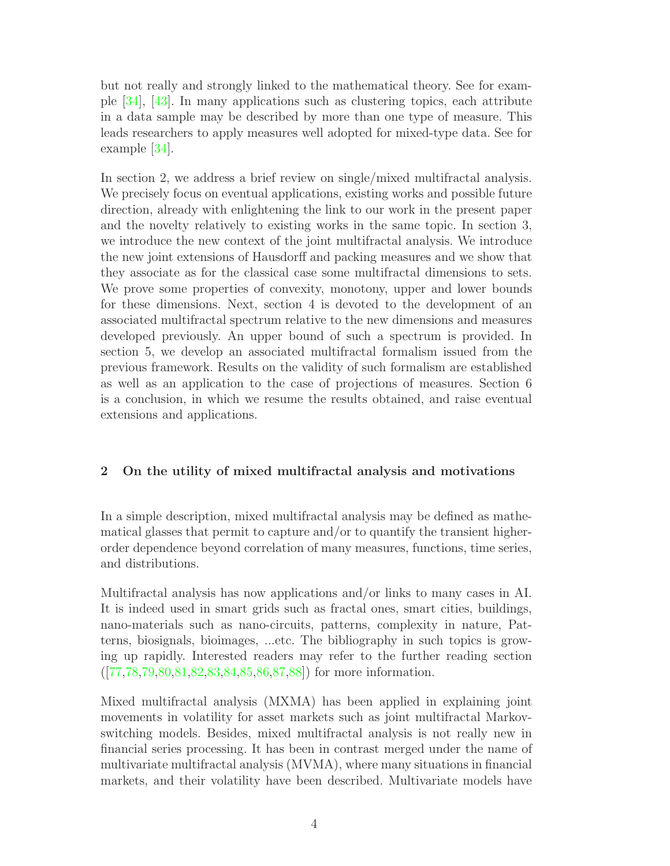but not really and strongly linked to the mathematical theory. See for example [\[34\]](#page-30-4), [\[43\]](#page-31-5). In many applications such as clustering topics, each attribute in a data sample may be described by more than one type of measure. This leads researchers to apply measures well adopted for mixed-type data. See for example [\[34\]](#page-30-4).

In section 2, we address a brief review on single/mixed multifractal analysis. We precisely focus on eventual applications, existing works and possible future direction, already with enlightening the link to our work in the present paper and the novelty relatively to existing works in the same topic. In section 3, we introduce the new context of the joint multifractal analysis. We introduce the new joint extensions of Hausdorff and packing measures and we show that they associate as for the classical case some multifractal dimensions to sets. We prove some properties of convexity, monotony, upper and lower bounds for these dimensions. Next, section 4 is devoted to the development of an associated multifractal spectrum relative to the new dimensions and measures developed previously. An upper bound of such a spectrum is provided. In section 5, we develop an associated multifractal formalism issued from the previous framework. Results on the validity of such formalism are established as well as an application to the case of projections of measures. Section 6 is a conclusion, in which we resume the results obtained, and raise eventual extensions and applications.

# 2 On the utility of mixed multifractal analysis and motivations

In a simple description, mixed multifractal analysis may be defined as mathematical glasses that permit to capture and/or to quantify the transient higherorder dependence beyond correlation of many measures, functions, time series, and distributions.

Multifractal analysis has now applications and/or links to many cases in AI. It is indeed used in smart grids such as fractal ones, smart cities, buildings, nano-materials such as nano-circuits, patterns, complexity in nature, Patterns, biosignals, bioimages, ...etc. The bibliography in such topics is growing up rapidly. Interested readers may refer to the further reading section ([\[77](#page-33-8)[,78,](#page-33-9)[79,](#page-33-10)[80,](#page-33-11)[81](#page-33-12)[,82](#page-34-0)[,83](#page-34-1)[,84](#page-34-2)[,85](#page-34-3)[,86](#page-34-4)[,87](#page-34-5)[,88\]](#page-34-6)) for more information.

Mixed multifractal analysis (MXMA) has been applied in explaining joint movements in volatility for asset markets such as joint multifractal Markovswitching models. Besides, mixed multifractal analysis is not really new in financial series processing. It has been in contrast merged under the name of multivariate multifractal analysis (MVMA), where many situations in financial markets, and their volatility have been described. Multivariate models have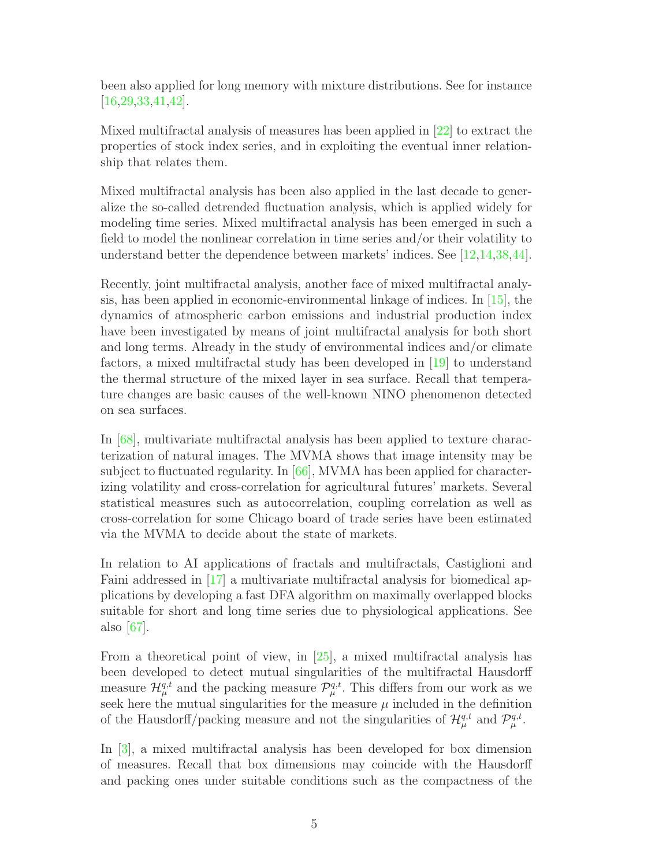been also applied for long memory with mixture distributions. See for instance [\[16](#page-29-4)[,29,](#page-30-5)[33,](#page-30-6)[41,](#page-31-6)[42\]](#page-31-7).

Mixed multifractal analysis of measures has been applied in [\[22\]](#page-30-7) to extract the properties of stock index series, and in exploiting the eventual inner relationship that relates them.

Mixed multifractal analysis has been also applied in the last decade to generalize the so-called detrended fluctuation analysis, which is applied widely for modeling time series. Mixed multifractal analysis has been emerged in such a field to model the nonlinear correlation in time series and/or their volatility to understand better the dependence between markets' indices. See [\[12](#page-29-5)[,14](#page-29-6)[,38](#page-31-8)[,44\]](#page-31-9).

Recently, joint multifractal analysis, another face of mixed multifractal analysis, has been applied in economic-environmental linkage of indices. In [\[15\]](#page-29-7), the dynamics of atmospheric carbon emissions and industrial production index have been investigated by means of joint multifractal analysis for both short and long terms. Already in the study of environmental indices and/or climate factors, a mixed multifractal study has been developed in [\[19\]](#page-29-8) to understand the thermal structure of the mixed layer in sea surface. Recall that temperature changes are basic causes of the well-known NINO phenomenon detected on sea surfaces.

In [\[68\]](#page-33-13), multivariate multifractal analysis has been applied to texture characterization of natural images. The MVMA shows that image intensity may be subject to fluctuated regularity. In [\[66\]](#page-32-8), MVMA has been applied for characterizing volatility and cross-correlation for agricultural futures' markets. Several statistical measures such as autocorrelation, coupling correlation as well as cross-correlation for some Chicago board of trade series have been estimated via the MVMA to decide about the state of markets.

In relation to AI applications of fractals and multifractals, Castiglioni and Faini addressed in [\[17\]](#page-29-9) a multivariate multifractal analysis for biomedical applications by developing a fast DFA algorithm on maximally overlapped blocks suitable for short and long time series due to physiological applications. See also [\[67\]](#page-33-14).

From a theoretical point of view, in [\[25\]](#page-30-8), a mixed multifractal analysis has been developed to detect mutual singularities of the multifractal Hausdorff measure  $\mathcal{H}_{\mu}^{q,t}$  and the packing measure  $\mathcal{P}_{\mu}^{q,t}$ . This differs from our work as we seek here the mutual singularities for the measure  $\mu$  included in the definition of the Hausdorff/packing measure and not the singularities of  $\mathcal{H}_{\mu}^{q,t}$  and  $\mathcal{P}_{\mu}^{q,t}$ .

In [\[3\]](#page-28-1), a mixed multifractal analysis has been developed for box dimension of measures. Recall that box dimensions may coincide with the Hausdorff and packing ones under suitable conditions such as the compactness of the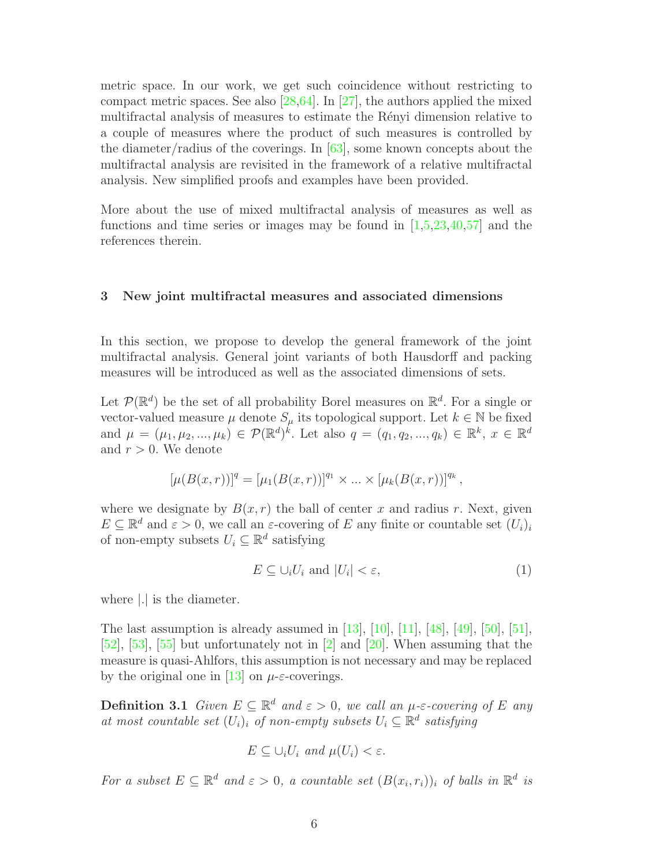metric space. In our work, we get such coincidence without restricting to compact metric spaces. See also  $[28,64]$  $[28,64]$ . In  $[27]$ , the authors applied the mixed multifractal analysis of measures to estimate the Rényi dimension relative to a couple of measures where the product of such measures is controlled by the diameter/radius of the coverings. In  $[63]$ , some known concepts about the multifractal analysis are revisited in the framework of a relative multifractal analysis. New simplified proofs and examples have been provided.

More about the use of mixed multifractal analysis of measures as well as functions and time series or images may be found in  $[1,5,23,40,57]$  $[1,5,23,40,57]$  $[1,5,23,40,57]$  $[1,5,23,40,57]$  $[1,5,23,40,57]$  and the references therein.

## 3 New joint multifractal measures and associated dimensions

In this section, we propose to develop the general framework of the joint multifractal analysis. General joint variants of both Hausdorff and packing measures will be introduced as well as the associated dimensions of sets.

Let  $\mathcal{P}(\mathbb{R}^d)$  be the set of all probability Borel measures on  $\mathbb{R}^d$ . For a single or vector-valued measure  $\mu$  denote  $S_{\mu}$  its topological support. Let  $k \in \mathbb{N}$  be fixed and  $\mu = (\mu_1, \mu_2, ..., \mu_k) \in \mathcal{P}(\mathbb{R}^d)^k$ . Let also  $q = (q_1, q_2, ..., q_k) \in \mathbb{R}^k$ ,  $x \in \mathbb{R}^d$ and  $r > 0$ . We denote

$$
[\mu(B(x,r))]^q = [\mu_1(B(x,r))]^{q_1} \times \dots \times [\mu_k(B(x,r))]^{q_k},
$$

where we designate by  $B(x, r)$  the ball of center x and radius r. Next, given  $E \subseteq \mathbb{R}^d$  and  $\varepsilon > 0$ , we call an  $\varepsilon$ -covering of E any finite or countable set  $(U_i)_i$ of non-empty subsets  $U_i \subseteq \mathbb{R}^d$  satisfying

$$
E \subseteq \bigcup_i U_i \text{ and } |U_i| < \varepsilon,\tag{1}
$$

where |.| is the diameter.

The last assumption is already assumed in  $[13]$ ,  $[10]$ ,  $[11]$ ,  $[48]$ ,  $[49]$ ,  $[50]$ ,  $[51]$ , [\[52\]](#page-32-1), [\[53\]](#page-32-2), [\[55\]](#page-32-5) but unfortunately not in [\[2\]](#page-28-0) and [\[20\]](#page-30-0). When assuming that the measure is quasi-Ahlfors, this assumption is not necessary and may be replaced by the original one in [\[13\]](#page-29-3) on  $\mu$ - $\varepsilon$ -coverings.

**Definition 3.1** Given  $E \subseteq \mathbb{R}^d$  and  $\varepsilon > 0$ , we call an  $\mu$ - $\varepsilon$ -covering of E any at most countable set  $(U_i)_i$  of non-empty subsets  $U_i \subseteq \mathbb{R}^d$  satisfying

$$
E \subseteq \bigcup_i U_i \text{ and } \mu(U_i) < \varepsilon.
$$

For a subset  $E \subseteq \mathbb{R}^d$  and  $\varepsilon > 0$ , a countable set  $(B(x_i, r_i))_i$  of balls in  $\mathbb{R}^d$  is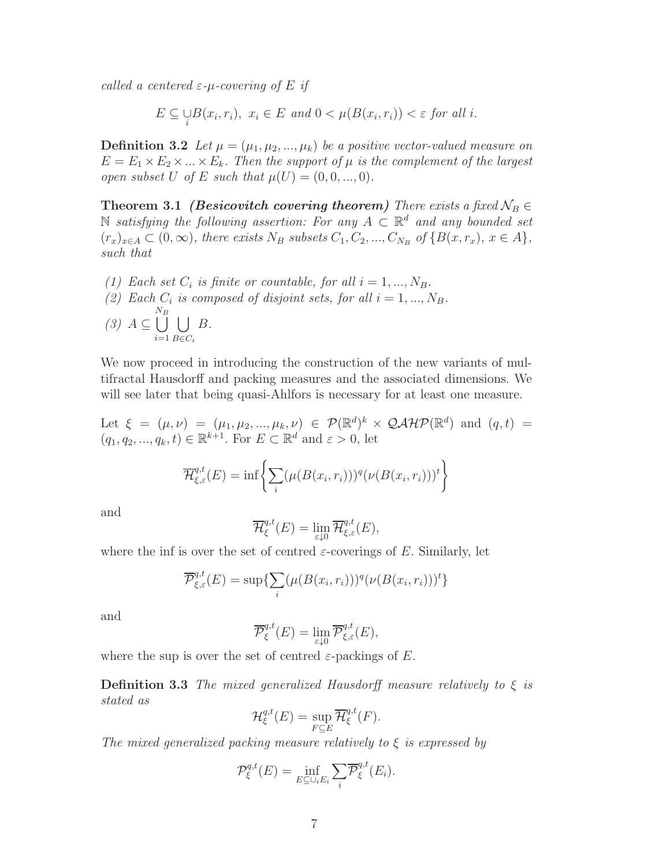called a centered  $\varepsilon$ -*u*-covering of E if

 $E \subseteq \bigcup_i B(x_i, r_i), \ x_i \in E \text{ and } 0 < \mu(B(x_i, r_i)) < \varepsilon \text{ for all } i.$ 

**Definition 3.2** Let  $\mu = (\mu_1, \mu_2, ..., \mu_k)$  be a positive vector-valued measure on  $E = E_1 \times E_2 \times ... \times E_k$ . Then the support of  $\mu$  is the complement of the largest open subset U of E such that  $\mu(U) = (0, 0, ..., 0)$ .

**Theorem 3.1** (Besicovitch covering theorem) There exists a fixed  $\mathcal{N}_B \in$  $\mathbb N$  satisfying the following assertion: For any  $A \subset \mathbb R^d$  and any bounded set  $(r_x)_{x \in A} \subset (0,\infty)$ , there exists  $N_B$  subsets  $C_1, C_2, ..., C_{N_B}$  of  $\{B(x,r_x), x \in A\}$ , such that

- (1) Each set  $C_i$  is finite or countable, for all  $i = 1, ..., N_B$ .
- (2) Each  $C_i$  is composed of disjoint sets, for all  $i = 1, ..., N_B$ .  $(3)$   $A \subseteq$  $N_B$ <br>| |  $i=1$  $\overline{1}$  $B \in C_i$ B.

We now proceed in introducing the construction of the new variants of multifractal Hausdorff and packing measures and the associated dimensions. We will see later that being quasi-Ahlfors is necessary for at least one measure.

Let  $\xi = (\mu, \nu) = (\mu_1, \mu_2, ..., \mu_k, \nu) \in \mathcal{P}(\mathbb{R}^d)^k \times \mathcal{QAHP}(\mathbb{R}^d)$  and  $(q, t) =$  $(q_1, q_2, ..., q_k, t) \in \mathbb{R}^{k+1}$ . For  $E \subset \mathbb{R}^d$  and  $\varepsilon > 0$ , let

$$
\overline{\mathcal{H}}_{\xi,\varepsilon}^{q,t}(E) = \inf \left\{ \sum_{i} (\mu(B(x_i,r_i)))^q (\nu(B(x_i,r_i)))^t \right\}
$$

and

$$
\overline{\mathcal{H}}_{\xi}^{q,t}(E) = \lim_{\varepsilon \downarrow 0} \overline{\mathcal{H}}_{\xi,\varepsilon}^{q,t}(E),
$$

where the inf is over the set of centred  $\varepsilon$ -coverings of E. Similarly, let

$$
\overline{\mathcal{P}}_{\xi,\varepsilon}^{q,t}(E) = \sup \{ \sum_{i} (\mu(B(x_i, r_i)))^q (\nu(B(x_i, r_i)))^t \}
$$

and

$$
\overline{\mathcal{P}}_{\xi}^{q,t}(E) = \lim_{\varepsilon \downarrow 0} \overline{\mathcal{P}}_{\xi,\varepsilon}^{q,t}(E),
$$

where the sup is over the set of centred  $\varepsilon$ -packings of E.

**Definition 3.3** The mixed generalized Hausdorff measure relatively to  $\xi$  is stated as

$$
\mathcal{H}^{q,t}_{\xi}(E) = \sup_{F \subseteq E} \overline{\mathcal{H}}^{q,t}_{\xi}(F).
$$

The mixed generalized packing measure relatively to  $\xi$  is expressed by

$$
\mathcal{P}_{\xi}^{q,t}(E) = \inf_{E \subseteq \cup_i E_i} \sum_i \overline{\mathcal{P}}_{\xi}^{q,t}(E_i).
$$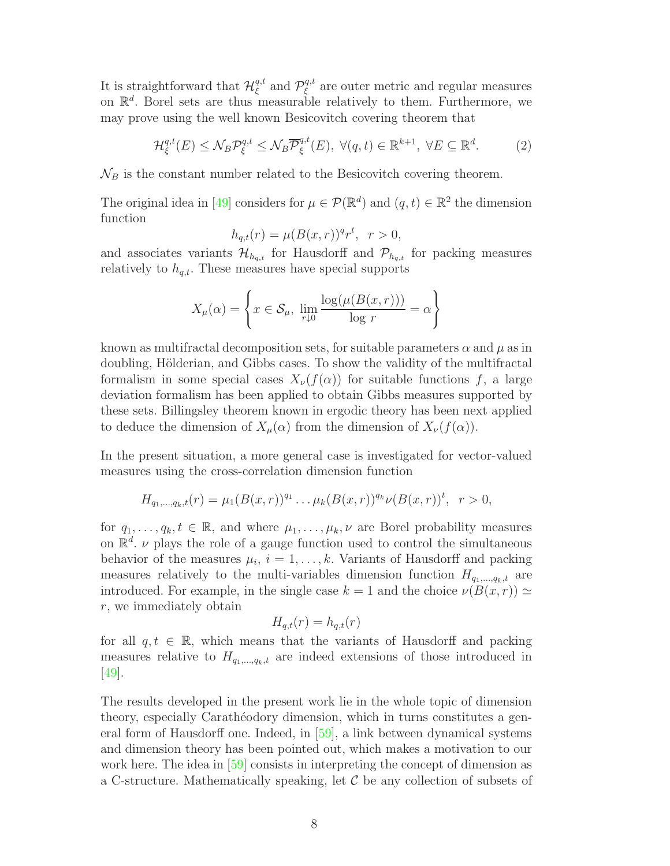It is straightforward that  $\mathcal{H}^{q,t}_{\xi}$  $_{\xi}^{q,t}$  and  $\mathcal{P}_{\xi}^{q,t}$  $\zeta^{q,t}$  are outer metric and regular measures on  $\mathbb{R}^d$ . Borel sets are thus measurable relatively to them. Furthermore, we may prove using the well known Besicovitch covering theorem that

<span id="page-7-0"></span>
$$
\mathcal{H}_{\xi}^{q,t}(E) \le \mathcal{N}_B \mathcal{P}_{\xi}^{q,t} \le \mathcal{N}_B \overline{\mathcal{P}}_{\xi}^{q,t}(E), \ \forall (q,t) \in \mathbb{R}^{k+1}, \ \forall E \subseteq \mathbb{R}^d. \tag{2}
$$

 $\mathcal{N}_B$  is the constant number related to the Besicovitch covering theorem.

The original idea in [\[49\]](#page-31-0) considers for  $\mu \in \mathcal{P}(\mathbb{R}^d)$  and  $(q, t) \in \mathbb{R}^2$  the dimension function

$$
h_{q,t}(r) = \mu(B(x,r))^q r^t, \ \ r > 0,
$$

and associates variants  $\mathcal{H}_{h_{q,t}}$  for Hausdorff and  $\mathcal{P}_{h_{q,t}}$  for packing measures relatively to  $h_{q,t}$ . These measures have special supports

$$
X_{\mu}(\alpha) = \left\{ x \in \mathcal{S}_{\mu}, \lim_{r \downarrow 0} \frac{\log(\mu(B(x,r)))}{\log r} = \alpha \right\}
$$

known as multifractal decomposition sets, for suitable parameters  $\alpha$  and  $\mu$  as in doubling, Hölderian, and Gibbs cases. To show the validity of the multifractal formalism in some special cases  $X_{\nu}(f(\alpha))$  for suitable functions f, a large deviation formalism has been applied to obtain Gibbs measures supported by these sets. Billingsley theorem known in ergodic theory has been next applied to deduce the dimension of  $X_\mu(\alpha)$  from the dimension of  $X_\nu(f(\alpha))$ .

In the present situation, a more general case is investigated for vector-valued measures using the cross-correlation dimension function

$$
H_{q_1,\ldots,q_k,t}(r)=\mu_1(B(x,r))^{q_1}\ldots\mu_k(B(x,r))^{q_k}\nu(B(x,r))^{t},\ \ r>0,
$$

for  $q_1, \ldots, q_k, t \in \mathbb{R}$ , and where  $\mu_1, \ldots, \mu_k, \nu$  are Borel probability measures on  $\mathbb{R}^d$ .  $\nu$  plays the role of a gauge function used to control the simultaneous behavior of the measures  $\mu_i$ ,  $i = 1, \ldots, k$ . Variants of Hausdorff and packing measures relatively to the multi-variables dimension function  $H_{q_1,\dots,q_k,t}$  are introduced. For example, in the single case  $k = 1$  and the choice  $\nu(B(x, r)) \simeq$ r, we immediately obtain

$$
H_{q,t}(r) = h_{q,t}(r)
$$

for all  $q, t \in \mathbb{R}$ , which means that the variants of Hausdorff and packing measures relative to  $H_{q_1,...,q_k,t}$  are indeed extensions of those introduced in [\[49\]](#page-31-0).

The results developed in the present work lie in the whole topic of dimension theory, especially Carathéodory dimension, which in turns constitutes a general form of Hausdorff one. Indeed, in [\[59\]](#page-32-7), a link between dynamical systems and dimension theory has been pointed out, which makes a motivation to our work here. The idea in [\[59\]](#page-32-7) consists in interpreting the concept of dimension as a C-structure. Mathematically speaking, let  $C$  be any collection of subsets of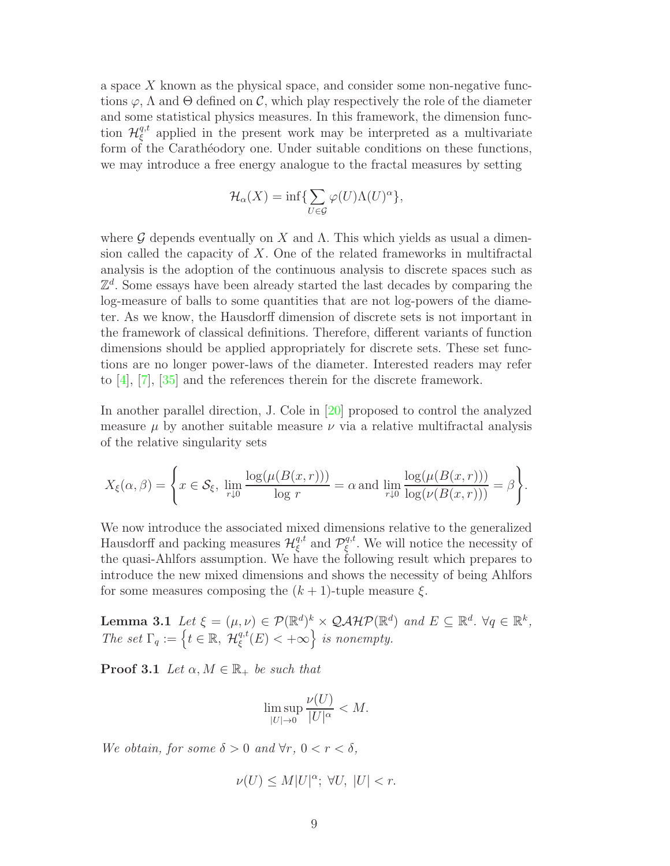a space X known as the physical space, and consider some non-negative functions  $\varphi$ ,  $\Lambda$  and  $\Theta$  defined on  $\mathcal{C}$ , which play respectively the role of the diameter and some statistical physics measures. In this framework, the dimension function  $\mathcal{H}^{q,t}_{\xi}$  $\zeta^{q,t}$  applied in the present work may be interpreted as a multivariate form of the Carathéodory one. Under suitable conditions on these functions, we may introduce a free energy analogue to the fractal measures by setting

$$
\mathcal{H}_\alpha(X)=\inf\{\sum_{U\in\mathcal{G}}\varphi(U)\Lambda(U)^\alpha\},
$$

where G depends eventually on X and  $\Lambda$ . This which yields as usual a dimension called the capacity of  $X$ . One of the related frameworks in multifractal analysis is the adoption of the continuous analysis to discrete spaces such as  $\mathbb{Z}^d$ . Some essays have been already started the last decades by comparing the log-measure of balls to some quantities that are not log-powers of the diameter. As we know, the Hausdorff dimension of discrete sets is not important in the framework of classical definitions. Therefore, different variants of function dimensions should be applied appropriately for discrete sets. These set functions are no longer power-laws of the diameter. Interested readers may refer to [\[4\]](#page-28-4), [\[7\]](#page-29-10), [\[35\]](#page-31-11) and the references therein for the discrete framework.

In another parallel direction, J. Cole in [\[20\]](#page-30-0) proposed to control the analyzed measure  $\mu$  by another suitable measure  $\nu$  via a relative multifractal analysis of the relative singularity sets

$$
X_{\xi}(\alpha,\beta) = \left\{ x \in \mathcal{S}_{\xi}, \lim_{r \downarrow 0} \frac{\log(\mu(B(x,r)))}{\log r} = \alpha \text{ and } \lim_{r \downarrow 0} \frac{\log(\mu(B(x,r)))}{\log(\nu(B(x,r)))} = \beta \right\}.
$$

We now introduce the associated mixed dimensions relative to the generalized Hausdorff and packing measures  $\mathcal{H}^{q,t}_{\xi}$  $_{\xi}^{q,t}$  and  $\mathcal{P}_{\xi}^{q,t}$  $\zeta^{q,t}$ . We will notice the necessity of the quasi-Ahlfors assumption. We have the following result which prepares to introduce the new mixed dimensions and shows the necessity of being Ahlfors for some measures composing the  $(k + 1)$ -tuple measure  $\xi$ .

**Lemma 3.1** Let  $\xi = (\mu, \nu) \in \mathcal{P}(\mathbb{R}^d)^k \times \mathcal{QAHP}(\mathbb{R}^d)$  and  $E \subseteq \mathbb{R}^d$ .  $\forall q \in \mathbb{R}^k$ , The set  $\Gamma_q := \left\{ t \in \mathbb{R}, \ \mathcal{H}^{q,t}_{\xi} \right\}$  $\left\{ \begin{array}{l} q,t\ (\overline{E}) < +\infty \end{array} \right\}$  is nonempty.

**Proof 3.1** Let  $\alpha, M \in \mathbb{R}_+$  be such that

<span id="page-8-0"></span>
$$
\limsup_{|U|\to 0}\frac{\nu(U)}{|U|^{\alpha}}
$$

We obtain, for some  $\delta > 0$  and  $\forall r, 0 < r < \delta$ ,

$$
\nu(U) \le M|U|^{\alpha}; \ \forall U, \ |U| < r.
$$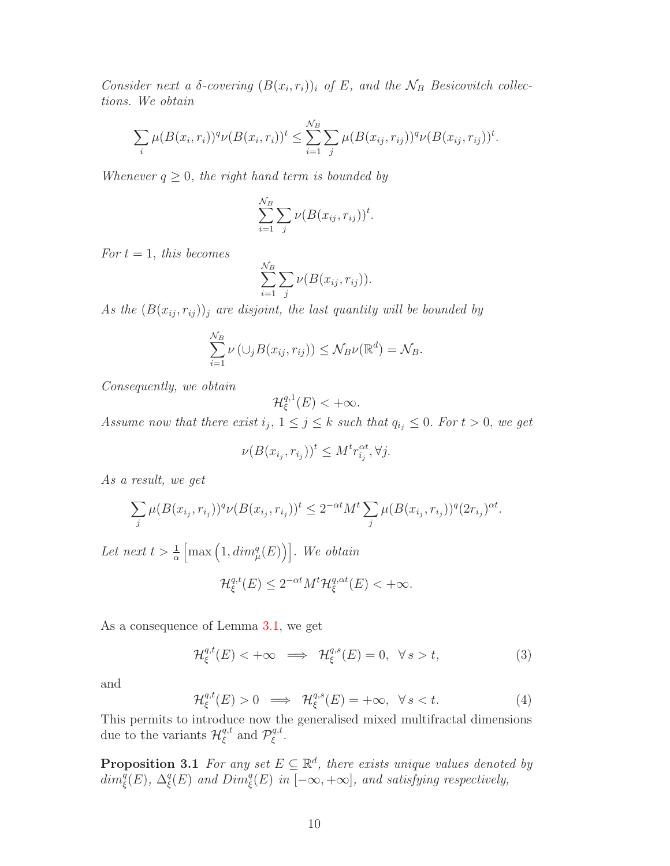Consider next a  $\delta$ -covering  $(B(x_i, r_i))_i$  of E, and the  $\mathcal{N}_B$  Besicovitch collections. We obtain

$$
\sum_{i} \mu(B(x_i, r_i))^q \nu(B(x_i, r_i))^t \leq \sum_{i=1}^{N_B} \sum_{j} \mu(B(x_{ij}, r_{ij}))^q \nu(B(x_{ij}, r_{ij}))^t.
$$

Whenever  $q \geq 0$ , the right hand term is bounded by

$$
\sum_{i=1}^{N_B} \sum_j \nu(B(x_{ij}, r_{ij}))^t.
$$

For  $t = 1$ , this becomes

$$
\sum_{i=1}^{N_B} \sum_j \nu(B(x_{ij}, r_{ij})).
$$

As the  $(B(x_{ij}, r_{ij}))_j$  are disjoint, the last quantity will be bounded by

$$
\sum_{i=1}^{N_B} \nu(\cup_j B(x_{ij}, r_{ij})) \leq \mathcal{N}_B \nu(\mathbb{R}^d) = \mathcal{N}_B.
$$

Consequently, we obtain

$$
\mathcal{H}^{q,1}_{\xi}(E) < +\infty.
$$

Assume now that there exist  $i_j$ ,  $1 \leq j \leq k$  such that  $q_{i_j} \leq 0$ . For  $t > 0$ , we get

$$
\nu(B(x_{i_j}, r_{i_j}))^t \le M^t r_{i_j}^{\alpha t}, \forall j.
$$

As a result, we get

$$
\sum_{j} \mu(B(x_{i_j}, r_{i_j}))^q \nu(B(x_{i_j}, r_{i_j}))^t \leq 2^{-\alpha t} M^t \sum_{j} \mu(B(x_{i_j}, r_{i_j}))^q (2r_{i_j})^{\alpha t}.
$$

Let next  $t > \frac{1}{\alpha}$  $\left[\max\left(1, \dim_{\mu}^q(E)\right)\right]$ . We obtain

$$
\mathcal{H}^{q,t}_{\xi}(E) \le 2^{-\alpha t} M^t \mathcal{H}^{q,\alpha t}_{\xi}(E) < +\infty.
$$

As a consequence of Lemma [3.1,](#page-8-0) we get

<span id="page-9-0"></span>
$$
\mathcal{H}_{\xi}^{q,t}(E) < +\infty \implies \mathcal{H}_{\xi}^{q,s}(E) = 0, \ \forall \, s > t,\tag{3}
$$

and

<span id="page-9-2"></span><span id="page-9-1"></span>
$$
\mathcal{H}_{\xi}^{q,t}(E) > 0 \implies \mathcal{H}_{\xi}^{q,s}(E) = +\infty, \ \forall \, s < t. \tag{4}
$$

This permits to introduce now the generalised mixed multifractal dimensions due to the variants  $\mathcal{H}^{q,t}_{\xi}$  $_{\xi}^{q,t}$  and  $\mathcal{P}_{\xi}^{q,t}$ ξ .

**Proposition 3.1** For any set  $E \subseteq \mathbb{R}^d$ , there exists unique values denoted by  $\dim_{\xi}^{\overline{q}}(E), \ \Delta_{\xi}^{\overline{q}}$  $\mathcal{L}^q_{\xi}(E)$  and  $Dim^q_{\xi}(E)$  in  $[-\infty, +\infty]$ , and satisfying respectively,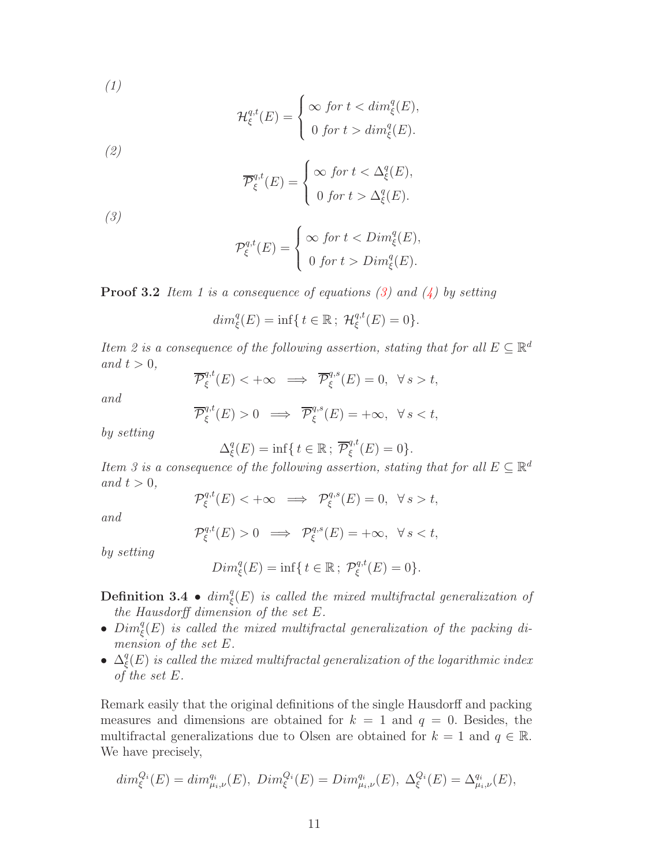(1)

$$
\mathcal{H}_{\xi}^{q,t}(E) = \begin{cases} \infty \text{ for } t < \dim_{\xi}^{q}(E), \\ 0 \text{ for } t > \dim_{\xi}^{q}(E). \end{cases}
$$

(2)

$$
\overline{\mathcal{P}}_{\xi}^{q,t}(E) = \begin{cases} \infty & \text{for } t < \Delta_{\xi}^q(E), \\ 0 & \text{for } t > \Delta_{\xi}^q(E). \end{cases}
$$

(3)

$$
\mathcal{P}_{\xi}^{q,t}(E) = \begin{cases} \infty & \text{for } t < \text{Dim}_{\xi}^q(E), \\ 0 & \text{for } t > \text{Dim}_{\xi}^q(E). \end{cases}
$$

**Proof 3.2** Item 1 is a consequence of equations [\(3\)](#page-9-0) and [\(4\)](#page-9-1) by setting

$$
dim_{\xi}^{q}(E) = \inf\{t \in \mathbb{R}; \ \mathcal{H}_{\xi}^{q,t}(E) = 0\}.
$$

Item 2 is a consequence of the following assertion, stating that for all  $E \subseteq \mathbb{R}^d$ and  $t > 0$ ,

$$
\overline{\mathcal{P}}_{\xi}^{q,t}(E) < +\infty \implies \overline{\mathcal{P}}_{\xi}^{q,s}(E) = 0, \ \forall s > t,
$$

and

$$
\overline{\mathcal{P}}_{\xi}^{q,t}(E) > 0 \implies \overline{\mathcal{P}}_{\xi}^{q,s}(E) = +\infty, \ \forall s < t,
$$

by setting

$$
\Delta_{\xi}^{q}(E) = \inf \{ t \in \mathbb{R} ; \overline{\mathcal{P}}_{\xi}^{q,t}(E) = 0 \}.
$$

Item 3 is a consequence of the following assertion, stating that for all  $E \subseteq \mathbb{R}^d$ and  $t > 0$ ,

$$
\mathcal{P}_{\xi}^{q,t}(E) < +\infty \implies \mathcal{P}_{\xi}^{q,s}(E) = 0, \ \forall s > t,
$$

and

$$
\mathcal{P}_{\xi}^{q,t}(E) > 0 \implies \mathcal{P}_{\xi}^{q,s}(E) = +\infty, \ \forall s < t,
$$

by setting

$$
Dim_{\xi}^{q}(E) = \inf\{ t \in \mathbb{R} ; P_{\xi}^{q,t}(E) = 0 \}.
$$

**Definition 3.4** •  $dim_{\xi}^{q}(E)$  is called the mixed multifractal generalization of the Hausdorff dimension of the set E.

- $Dim_{\xi}^{q}(E)$  is called the mixed multifractal generalization of the packing dimension of the set E.
- $\bullet$   $\Delta^q_{\epsilon}$  $\mathcal{C}^q_\xi(E)$  is called the mixed multifractal generalization of the logarithmic index of the set E.

Remark easily that the original definitions of the single Hausdorff and packing measures and dimensions are obtained for  $k = 1$  and  $q = 0$ . Besides, the multifractal generalizations due to Olsen are obtained for  $k = 1$  and  $q \in \mathbb{R}$ . We have precisely,

$$
dim_{\xi}^{Q_i}(E) = dim_{\mu_i,\nu}^{q_i}(E), \ Dim_{\xi}^{Q_i}(E) = Dim_{\mu_i,\nu}^{q_i}(E), \ \Delta_{\xi}^{Q_i}(E) = \Delta_{\mu_i,\nu}^{q_i}(E),
$$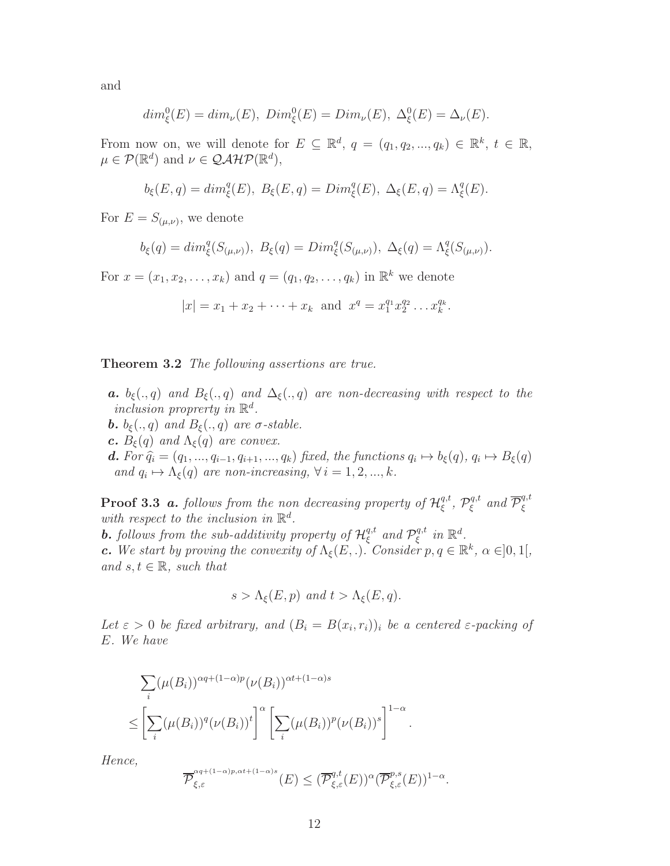and

$$
dim_{\xi}^{0}(E) = dim_{\nu}(E), \ Dim_{\xi}^{0}(E) = Dim_{\nu}(E), \ \Delta_{\xi}^{0}(E) = \Delta_{\nu}(E).
$$

From now on, we will denote for  $E \subseteq \mathbb{R}^d$ ,  $q = (q_1, q_2, ..., q_k) \in \mathbb{R}^k$ ,  $t \in \mathbb{R}$ ,  $\mu \in \mathcal{P}(\mathbb{R}^d)$  and  $\nu \in \mathcal{QAHP}(\mathbb{R}^d)$ ,

$$
b_{\xi}(E,q) = dim_{\xi}^{q}(E), B_{\xi}(E,q) = Dim_{\xi}^{q}(E), \Delta_{\xi}(E,q) = \Lambda_{\xi}^{q}(E).
$$

For  $E = S_{(\mu,\nu)}$ , we denote

$$
b_{\xi}(q) = dim_{\xi}^{q}(S_{(\mu,\nu)}), B_{\xi}(q) = Dim_{\xi}^{q}(S_{(\mu,\nu)}), \Delta_{\xi}(q) = \Lambda_{\xi}^{q}(S_{(\mu,\nu)}).
$$

For  $x = (x_1, x_2, \dots, x_k)$  and  $q = (q_1, q_2, \dots, q_k)$  in  $\mathbb{R}^k$  we denote

$$
|x| = x_1 + x_2 + \cdots + x_k
$$
 and  $x^q = x_1^{q_1} x_2^{q_2} \ldots x_k^{q_k}$ .

Theorem 3.2 The following assertions are true.

**a.**  $b_{\xi}(., q)$  and  $B_{\xi}(., q)$  and  $\Delta_{\xi}(., q)$  are non-decreasing with respect to the inclusion proprerty in  $\mathbb{R}^d$ . **b.**  $b_{\xi}(.,q)$  and  $B_{\xi}(.,q)$  are  $\sigma$ -stable. c.  $B_{\xi}(q)$  and  $\Lambda_{\xi}(q)$  are convex.

**d.** For  $\hat{q}_i = (q_1, ..., q_{i-1}, q_{i+1}, ..., q_k)$  fixed, the functions  $q_i \mapsto b_{\xi}(q)$ ,  $q_i \mapsto B_{\xi}(q)$ and  $q_i \mapsto \Lambda_{\xi}(q)$  are non-increasing,  $\forall i = 1, 2, ..., k$ .

**Proof 3.3 a.** follows from the non decreasing property of  $\mathcal{H}^{q,t}_{\xi}$  $_{\xi}^{q,t},\,\mathcal{P}_{\xi}^{q,t}$  $\overline{\mathcal{P}}_{\xi}^{q,t}$  and  $\overline{\mathcal{P}}_{\xi}^{q,t}$ ξ with respect to the inclusion in  $\mathbb{R}^d$ .

**b.** follows from the sub-additivity property of  $\mathcal{H}^{q,t}_{\xi}$  $_{\xi}^{q,t}$  and  $\mathcal{P}_{\xi}^{q,t}$  $i^{q,t}$  in  $\mathbb{R}^d$ .

**c.** We start by proving the convexity of  $\Lambda_{\xi}(E,.)$ . Consider  $p, q \in \mathbb{R}^{k}$ ,  $\alpha \in ]0,1[$ , and  $s, t \in \mathbb{R}$ , such that

$$
s > \Lambda_{\xi}(E, p)
$$
 and  $t > \Lambda_{\xi}(E, q)$ .

Let  $\varepsilon > 0$  be fixed arbitrary, and  $(B_i = B(x_i, r_i))$  be a centered  $\varepsilon$ -packing of E. We have

$$
\sum_{i} (\mu(B_i))^{\alpha q + (1-\alpha)p} (\nu(B_i))^{\alpha t + (1-\alpha)s}
$$
\n
$$
\leq \left[ \sum_{i} (\mu(B_i))^q (\nu(B_i))^t \right]^{\alpha} \left[ \sum_{i} (\mu(B_i))^p (\nu(B_i))^s \right]^{1-\alpha}.
$$

Hence,

$$
\overline{\mathcal{P}}_{\xi,\varepsilon}^{\alpha q + (1-\alpha)p,\alpha t + (1-\alpha)s}(E) \leq (\overline{\mathcal{P}}_{\xi,\varepsilon}^{q,t}(E))^{\alpha}(\overline{\mathcal{P}}_{\xi,\varepsilon}^{p,s}(E))^{1-\alpha}.
$$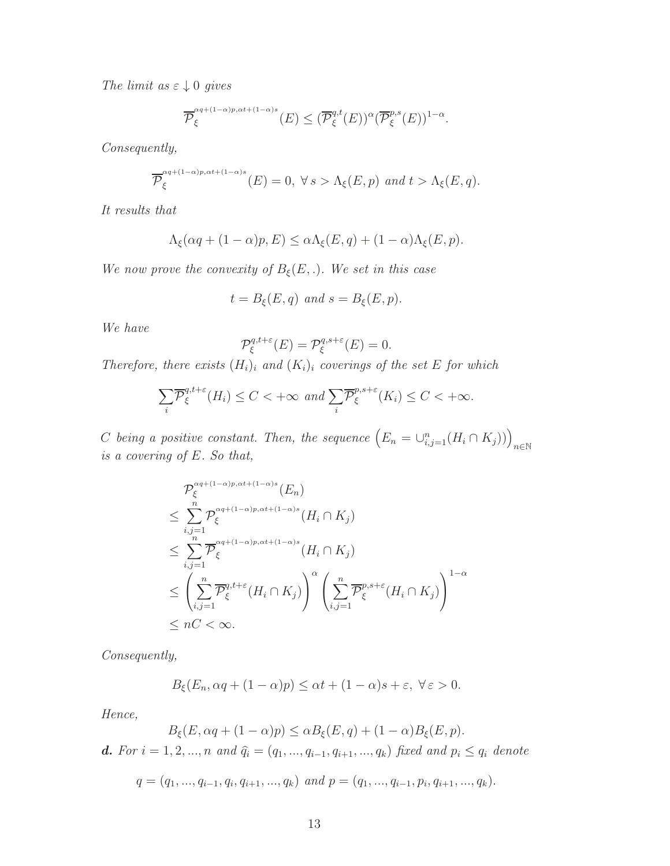The limit as  $\varepsilon \downarrow 0$  gives

$$
\overline{\mathcal{P}}_{\xi}^{\alpha q + (1-\alpha)p, \alpha t + (1-\alpha)s}(E) \leq (\overline{\mathcal{P}}_{\xi}^{q,t}(E))^{\alpha} (\overline{\mathcal{P}}_{\xi}^{p,s}(E))^{1-\alpha}.
$$

Consequently,

$$
\overline{\mathcal{P}}_{\xi}^{\alpha q + (1-\alpha)p, \alpha t + (1-\alpha)s}(E) = 0, \ \forall \, s > \Lambda_{\xi}(E, p) \, \text{ and } t > \Lambda_{\xi}(E, q).
$$

It results that

$$
\Lambda_{\xi}(\alpha q + (1 - \alpha)p, E) \leq \alpha \Lambda_{\xi}(E, q) + (1 - \alpha)\Lambda_{\xi}(E, p).
$$

We now prove the convexity of  $B_{\xi}(E,.)$ . We set in this case

$$
t = B_{\xi}(E, q) \text{ and } s = B_{\xi}(E, p).
$$

We have

$$
\mathcal{P}_{\xi}^{q,t+\varepsilon}(E) = \mathcal{P}_{\xi}^{q,s+\varepsilon}(E) = 0.
$$

Therefore, there exists  $(H_i)_i$  and  $(K_i)_i$  coverings of the set E for which

$$
\sum_{i} \overline{\mathcal{P}}_{\xi}^{q,t+\varepsilon}(H_i) \le C < +\infty \ \ and \ \sum_{i} \overline{\mathcal{P}}_{\xi}^{p,s+\varepsilon}(K_i) \le C < +\infty.
$$

C being a positive constant. Then, the sequence  $(E_n = \bigcup_{i,j=1}^n (H_i \cap K_j))\Big)_{n \in \mathbb{N}}$ is a covering of E. So that,

$$
\mathcal{P}_{\xi}^{\alpha q + (1-\alpha)p, \alpha t + (1-\alpha)s}(E_n)
$$
\n
$$
\leq \sum_{i,j=1}^{n} \mathcal{P}_{\xi}^{\alpha q + (1-\alpha)p, \alpha t + (1-\alpha)s}(H_i \cap K_j)
$$
\n
$$
\leq \sum_{i,j=1}^{n} \overline{\mathcal{P}}_{\xi}^{\alpha q + (1-\alpha)p, \alpha t + (1-\alpha)s}(H_i \cap K_j)
$$
\n
$$
\leq \left(\sum_{i,j=1}^{n} \overline{\mathcal{P}}_{\xi}^{q, t+\varepsilon}(H_i \cap K_j)\right)^{\alpha} \left(\sum_{i,j=1}^{n} \overline{\mathcal{P}}_{\xi}^{p, s+\varepsilon}(H_i \cap K_j)\right)^{1-\alpha}
$$
\n
$$
\leq nC < \infty.
$$

Consequently,

$$
B_{\xi}(E_n, \alpha q + (1 - \alpha)p) \leq \alpha t + (1 - \alpha)s + \varepsilon, \ \forall \varepsilon > 0.
$$

Hence,

$$
B_{\xi}(E, \alpha q + (1 - \alpha)p) \leq \alpha B_{\xi}(E, q) + (1 - \alpha)B_{\xi}(E, p).
$$

d. For  $i = 1, 2, ..., n$  and  $\hat{q}_i = (q_1, ..., q_{i-1}, q_{i+1}, ..., q_k)$  fixed and  $p_i \leq q_i$  denote

$$
q = (q_1, ..., q_{i-1}, q_i, q_{i+1}, ..., q_k)
$$
 and  $p = (q_1, ..., q_{i-1}, p_i, q_{i+1}, ..., q_k).$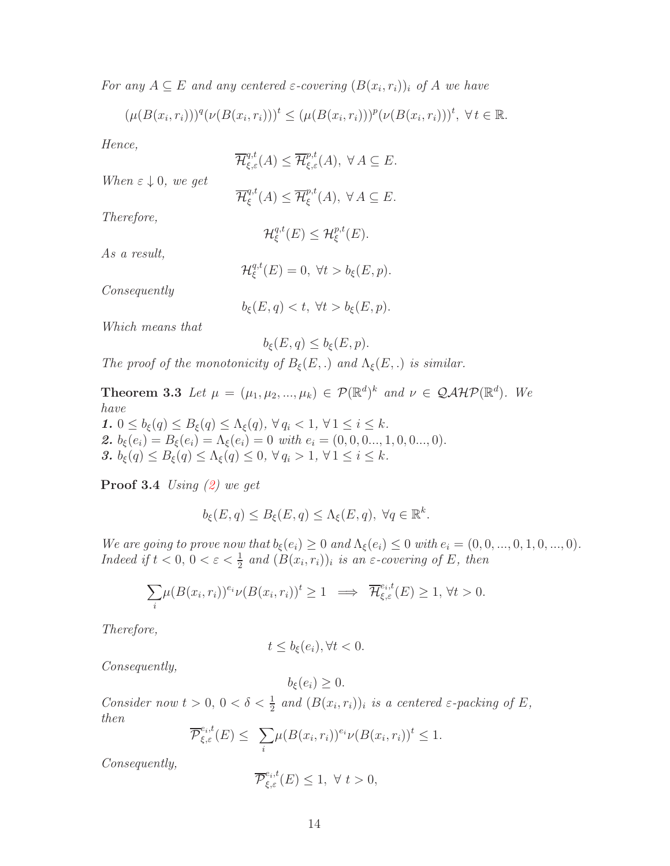For any  $A \subseteq E$  and any centered  $\varepsilon$ -covering  $(B(x_i, r_i))$  of A we have

$$
(\mu(B(x_i,r_i)))^q(\nu(B(x_i,r_i)))^t \leq (\mu(B(x_i,r_i)))^p(\nu(B(x_i,r_i)))^t, \forall t \in \mathbb{R}.
$$

Hence,

Therefore,

As a result,

 $\overline{\mathcal{H}}_{\xi,\varepsilon}^{q,t}(A) \leq \overline{\mathcal{H}}_{\xi,\varepsilon}^{p,t}(A), \ \forall A \subseteq E.$ When  $\varepsilon \downarrow 0$ , we get  $\overline{\mathcal{H}}^{q,t}_\varepsilon$  $_{\xi}^{q,t}(A) \leq \overline{\mathcal{H}}_{\xi}^{p,t}$  $_{\xi}^{p,\iota}(A),\ \forall A\subseteq E.$  $\mathcal{H}^{q,t}_\varepsilon$  $_{\xi}^{q,t}(E) \leq \mathcal{H}_{\xi}^{p,t}(E).$  $\mathcal{H}^{q,t}_\varepsilon$ 

Consequently

 $b_{\xi}(E, q) < t, \ \forall t > b_{\xi}(E, p).$ 

 $\mathcal{L}_{\xi}^{q,t}(E) = 0, \ \forall t > b_{\xi}(E, p).$ 

Which means that

$$
b_{\xi}(E,q) \leq b_{\xi}(E,p).
$$

The proof of the monotonicity of  $B_{\xi}(E,.)$  and  $\Lambda_{\xi}(E,.)$  is similar.

**Theorem 3.3** Let  $\mu = (\mu_1, \mu_2, ..., \mu_k) \in \mathcal{P}(\mathbb{R}^d)^k$  and  $\nu \in \mathcal{QAHP}(\mathbb{R}^d)$ . We have 1.  $0 \leq b_{\xi}(q) \leq B_{\xi}(q) \leq \Lambda_{\xi}(q)$ ,  $\forall q_i < 1$ ,  $\forall 1 \leq i \leq k$ .

2.  $b_{\xi}(e_i) = B_{\xi}(e_i) = \Lambda_{\xi}(e_i) = 0$  with  $e_i = (0, 0, 0..., 1, 0, 0..., 0)$ . 3.  $b_{\xi}(q) \leq B_{\xi}(q) \leq \Lambda_{\xi}(q) \leq 0$ ,  $\forall q_i > 1$ ,  $\forall 1 \leq i \leq k$ .

**Proof 3.4** Using  $(2)$  we get

$$
b_{\xi}(E,q) \le B_{\xi}(E,q) \le \Lambda_{\xi}(E,q), \ \forall q \in \mathbb{R}^k.
$$

We are going to prove now that  $b_{\xi}(e_i) \geq 0$  and  $\Lambda_{\xi}(e_i) \leq 0$  with  $e_i = (0, 0, ..., 0, 1, 0, ..., 0)$ . Indeed if  $t < 0$ ,  $0 < \varepsilon < \frac{1}{2}$  and  $(B(x_i, r_i))_i$  is an  $\varepsilon$ -covering of E, then

$$
\sum_{i} \mu(B(x_i, r_i))^{e_i} \nu(B(x_i, r_i))^t \ge 1 \implies \overline{\mathcal{H}}_{\xi,\varepsilon}^{e_i,t}(E) \ge 1, \forall t > 0.
$$

Therefore,

$$
t \le b_{\xi}(e_i), \forall t < 0.
$$

 $b_{\xi}(e_i) > 0.$ 

Consequently,

Consider now  $t > 0$ ,  $0 < \delta < \frac{1}{2}$  and  $(B(x_i, r_i))_i$  is a centered  $\varepsilon$ -packing of E, then

$$
\overline{\mathcal{P}}_{\xi,\varepsilon}^{e_i,t}(E) \leq \sum_i \mu(B(x_i,r_i))^{e_i} \nu(B(x_i,r_i))^t \leq 1.
$$

Consequently,

$$
\overline{\mathcal{P}}_{\xi,\varepsilon}^{e_i,t}(E) \le 1, \ \forall \ t > 0,
$$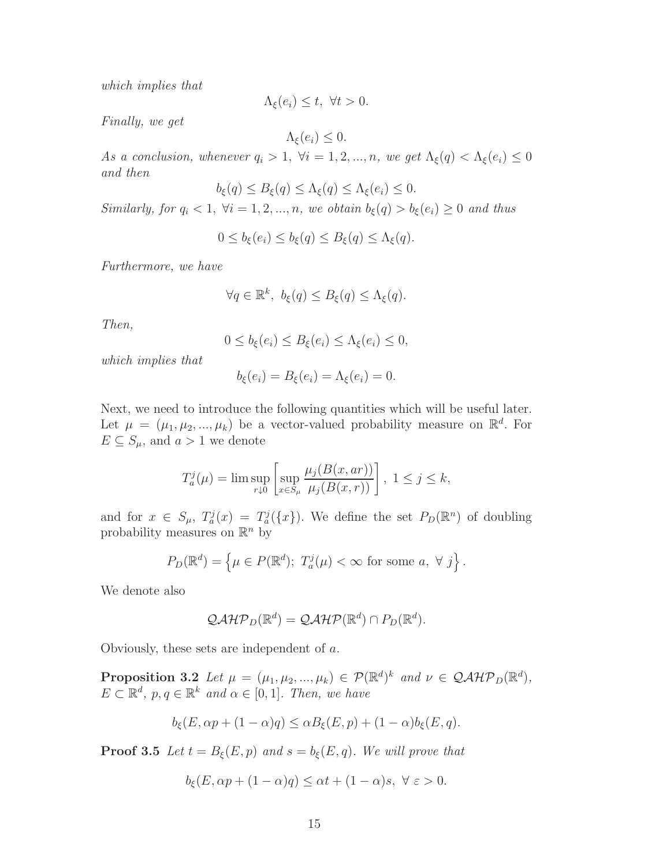which implies that

$$
\Lambda_{\xi}(e_i) \leq t, \ \forall t > 0.
$$

Finally, we get

 $\Lambda_{\xi}(e_i) \leq 0.$ 

As a conclusion, whenever  $q_i > 1$ ,  $\forall i = 1, 2, ..., n$ , we get  $\Lambda_{\xi}(q) < \Lambda_{\xi}(e_i) \leq 0$ and then

$$
b_{\xi}(q) \leq B_{\xi}(q) \leq \Lambda_{\xi}(q) \leq \Lambda_{\xi}(e_i) \leq 0.
$$

Similarly, for  $q_i < 1$ ,  $\forall i = 1, 2, ..., n$ , we obtain  $b_{\xi}(q) > b_{\xi}(e_i) \geq 0$  and thus

$$
0 \le b_{\xi}(e_i) \le b_{\xi}(q) \le B_{\xi}(q) \le \Lambda_{\xi}(q).
$$

Furthermore, we have

$$
\forall q \in \mathbb{R}^k, \ b_{\xi}(q) \leq B_{\xi}(q) \leq \Lambda_{\xi}(q).
$$

Then,

$$
0 \le b_{\xi}(e_i) \le B_{\xi}(e_i) \le \Lambda_{\xi}(e_i) \le 0,
$$

which implies that

$$
b_{\xi}(e_i) = B_{\xi}(e_i) = \Lambda_{\xi}(e_i) = 0.
$$

Next, we need to introduce the following quantities which will be useful later. Let  $\mu = (\mu_1, \mu_2, ..., \mu_k)$  be a vector-valued probability measure on  $\mathbb{R}^d$ . For  $E \subseteq S_\mu$ , and  $a > 1$  we denote

$$
T_a^j(\mu) = \limsup_{r \downarrow 0} \left[ \sup_{x \in S_\mu} \frac{\mu_j(B(x, ar))}{\mu_j(B(x, r))} \right], \ 1 \le j \le k,
$$

and for  $x \in S_{\mu}$ ,  $T_a^j(x) = T_a^j({x})$ . We define the set  $P_D(\mathbb{R}^n)$  of doubling probability measures on  $\mathbb{R}^n$  by

$$
P_D(\mathbb{R}^d) = \left\{ \mu \in P(\mathbb{R}^d); \ T_a^j(\mu) < \infty \text{ for some } a, \ \forall \ j \right\}.
$$

We denote also

<span id="page-14-0"></span>
$$
\mathcal{QAHP}_D(\mathbb{R}^d) = \mathcal{QAHP}(\mathbb{R}^d) \cap P_D(\mathbb{R}^d).
$$

Obviously, these sets are independent of a.

**Proposition 3.2** Let  $\mu = (\mu_1, \mu_2, ..., \mu_k) \in \mathcal{P}(\mathbb{R}^d)^k$  and  $\nu \in \mathcal{Q}A\mathcal{H}\mathcal{P}_D(\mathbb{R}^d)$ ,  $E \subset \mathbb{R}^d$ ,  $p, q \in \mathbb{R}^k$  and  $\alpha \in [0, 1]$ . Then, we have

$$
b_{\xi}(E,\alpha p + (1 - \alpha)q) \leq \alpha B_{\xi}(E,p) + (1 - \alpha)b_{\xi}(E,q).
$$

**Proof 3.5** Let  $t = B_{\xi}(E, p)$  and  $s = b_{\xi}(E, q)$ . We will prove that

$$
b_{\xi}(E,\alpha p + (1 - \alpha)q) \leq \alpha t + (1 - \alpha)s, \ \forall \ \varepsilon > 0.
$$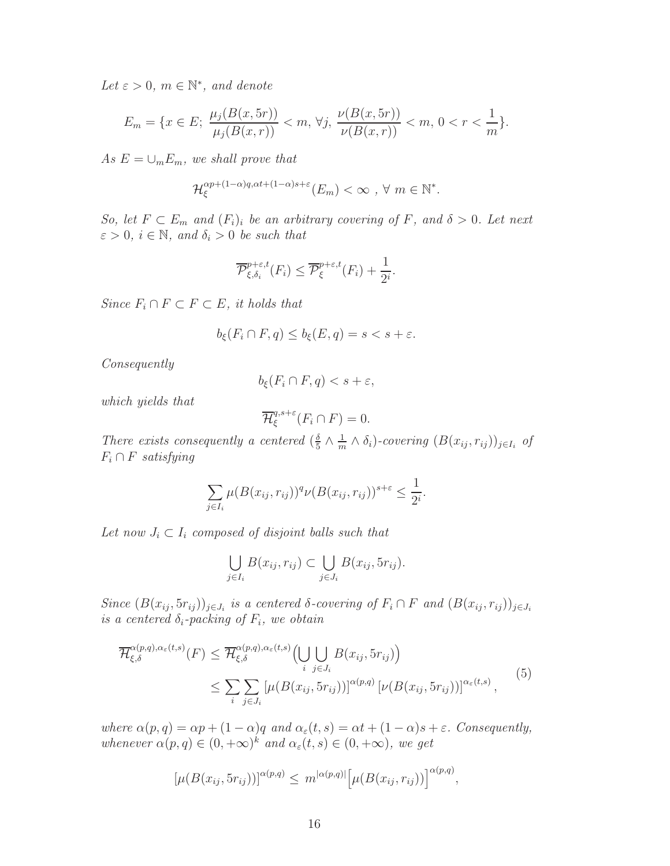Let  $\varepsilon > 0$ ,  $m \in \mathbb{N}^*$ , and denote

$$
E_m = \{x \in E; \ \frac{\mu_j(B(x,5r))}{\mu_j(B(x,r))} < m, \ \forall j, \ \frac{\nu(B(x,5r))}{\nu(B(x,r))} < m, \ 0 < r < \frac{1}{m} \}.
$$

As  $E = \bigcup_m E_m$ , we shall prove that

$$
\mathcal{H}_{\xi}^{\alpha p + (1-\alpha)q, \alpha t + (1-\alpha)s + \varepsilon} (E_m) < \infty \quad \forall \ m \in \mathbb{N}^*.
$$

So, let  $F \subset E_m$  and  $(F_i)_i$  be an arbitrary covering of F, and  $\delta > 0$ . Let next  $\varepsilon > 0$ ,  $i \in \mathbb{N}$ , and  $\delta_i > 0$  be such that

$$
\overline{\mathcal{P}}_{\xi,\delta_i}^{p+\varepsilon,t}(F_i) \leq \overline{\mathcal{P}}_{\xi}^{p+\varepsilon,t}(F_i) + \frac{1}{2^i}.
$$

Since  $F_i \cap F \subset F \subset E$ , it holds that

$$
b_{\xi}(F_i \cap F, q) \le b_{\xi}(E, q) = s < s + \varepsilon.
$$

Consequently

$$
b_{\xi}(F_i \cap F, q) < s + \varepsilon,
$$

which yields that

$$
\overline{\mathcal{H}}_{\xi}^{q,s+\varepsilon}(F_i \cap F) = 0.
$$

There exists consequently a centered  $\left(\frac{\delta}{5}\right)$  $\frac{\delta}{5} \wedge \frac{1}{m}$  $\frac{1}{m} \wedge \delta_i$ )-covering  $(B(x_{ij}, r_{ij}))_{j \in I_i}$  of  $F_i \cap F$  satisfying

$$
\sum_{j\in I_i}\mu(B(x_{ij},r_{ij}))^q\nu(B(x_{ij},r_{ij}))^{s+\varepsilon}\leq \frac{1}{2^i}.
$$

Let now  $J_i \subset I_i$  composed of disjoint balls such that

$$
\bigcup_{j\in I_i} B(x_{ij}, r_{ij}) \subset \bigcup_{j\in J_i} B(x_{ij}, 5r_{ij}).
$$

Since  $(B(x_{ij}, 5r_{ij}))_{j\in J_i}$  is a centered  $\delta$ -covering of  $F_i \cap F$  and  $(B(x_{ij}, r_{ij}))_{j\in J_i}$ is a centered  $\delta_i$ -packing of  $F_i$ , we obtain

<span id="page-15-0"></span>
$$
\overline{\mathcal{H}}_{\xi,\delta}^{\alpha(p,q),\alpha_{\varepsilon}(t,s)}(F) \leq \overline{\mathcal{H}}_{\xi,\delta}^{\alpha(p,q),\alpha_{\varepsilon}(t,s)} \Big( \bigcup_{i} \bigcup_{j\in J_{i}} B(x_{ij}, 5r_{ij}) \Big) \n\leq \sum_{i} \sum_{j\in J_{i}} \left[ \mu(B(x_{ij}, 5r_{ij})) \right]^{\alpha(p,q)} \left[ \nu(B(x_{ij}, 5r_{ij})) \right]^{\alpha_{\varepsilon}(t,s)},
$$
\n(5)

where  $\alpha(p,q) = \alpha p + (1-\alpha)q$  and  $\alpha_{\varepsilon}(t,s) = \alpha t + (1-\alpha)s + \varepsilon$ . Consequently, whenever  $\alpha(p,q) \in (0,+\infty)^k$  and  $\alpha_{\varepsilon}(t,s) \in (0,+\infty)$ , we get

$$
[\mu(B(x_{ij}, 5r_{ij}))]^{\alpha(p,q)} \le m^{|\alpha(p,q)|} [\mu(B(x_{ij}, r_{ij}))]^{\alpha(p,q)},
$$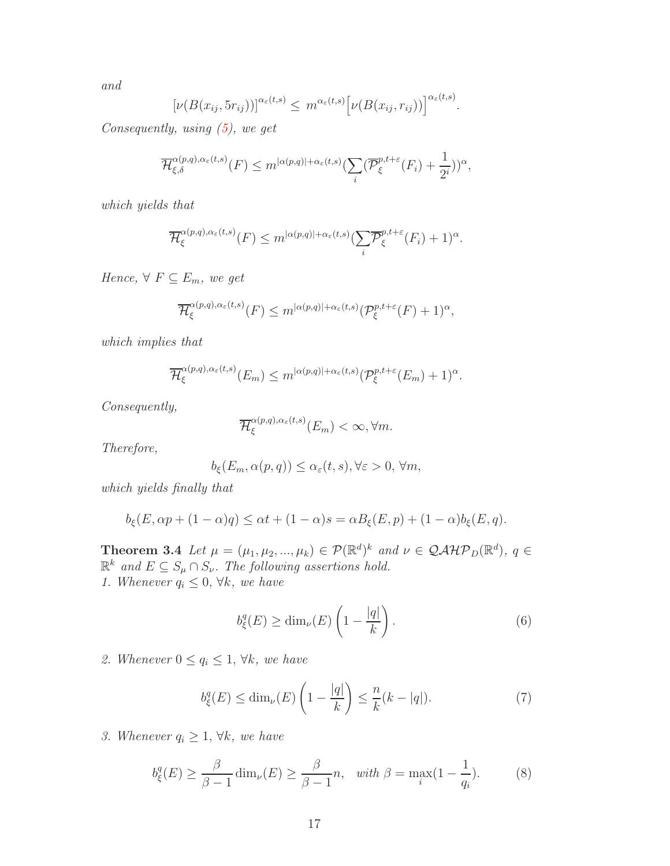and

$$
[\nu(B(x_{ij}, 5r_{ij}))]^{\alpha_{\varepsilon}(t,s)} \leq m^{\alpha_{\varepsilon}(t,s)} [\nu(B(x_{ij}, r_{ij}))]^{\alpha_{\varepsilon}(t,s)}.
$$

Consequently, using [\(5\)](#page-15-0), we get

$$
\overline{\mathcal{H}}_{\xi,\delta}^{\alpha(p,q),\alpha_{\varepsilon}(t,s)}(F) \leq m^{|\alpha(p,q)|+\alpha_{\varepsilon}(t,s)} \left(\sum_{i} (\overline{\mathcal{P}}_{\xi}^{p,t+\varepsilon}(F_{i})+\frac{1}{2^{i}})\right)^{\alpha},
$$

which yields that

$$
\overline{\mathcal{H}}_{\xi}^{\alpha(p,q),\alpha_{\varepsilon}(t,s)}(F) \leq m^{|\alpha(p,q)|+\alpha_{\varepsilon}(t,s)} \left(\sum_{i} \overline{\mathcal{P}}_{\xi}^{p,t+\varepsilon}(F_{i})+1\right)^{\alpha}.
$$

Hence,  $\forall F \subseteq E_m$ , we get

$$
\overline{\mathcal{H}}_{\xi}^{\alpha(p,q),\alpha_{\varepsilon}(t,s)}(F) \leq m^{|\alpha(p,q)|+\alpha_{\varepsilon}(t,s)} (\mathcal{P}_{\xi}^{p,t+\varepsilon}(F)+1)^{\alpha},
$$

which implies that

$$
\overline{\mathcal{H}}_{\xi}^{\alpha(p,q),\alpha_{\varepsilon}(t,s)}(E_m) \leq m^{|\alpha(p,q)|+\alpha_{\varepsilon}(t,s)} (\mathcal{P}_{\xi}^{p,t+\varepsilon}(E_m)+1)^{\alpha}.
$$

Consequently,

$$
\overline{\mathcal{H}}_{\xi}^{\alpha(p,q),\alpha_{\varepsilon}(t,s)}(E_m) < \infty, \forall m.
$$

Therefore,

$$
b_{\xi}(E_m, \alpha(p,q)) \leq \alpha_{\varepsilon}(t,s), \forall \varepsilon > 0, \forall m,
$$

which yields finally that

$$
b_{\xi}(E, \alpha p + (1 - \alpha)q) \leq \alpha t + (1 - \alpha)s = \alpha B_{\xi}(E, p) + (1 - \alpha)b_{\xi}(E, q).
$$

<span id="page-16-0"></span>**Theorem 3.4** Let  $\mu = (\mu_1, \mu_2, ..., \mu_k) \in \mathcal{P}(\mathbb{R}^d)^k$  and  $\nu \in \mathcal{QAHP}_D(\mathbb{R}^d)$ ,  $q \in$  $\mathbb{R}^k$  and  $E \subseteq S_\mu \cap S_\nu$ . The following assertions hold. 1. Whenever  $q_i \leq 0, \forall k, we have$ 

$$
b_{\xi}^{q}(E) \ge \dim_{\nu}(E) \left(1 - \frac{|q|}{k}\right). \tag{6}
$$

2. Whenever  $0 \le q_i \le 1$ ,  $\forall k$ , we have

$$
b_{\xi}^{q}(E) \le \dim_{\nu}(E) \left(1 - \frac{|q|}{k}\right) \le \frac{n}{k}(k - |q|). \tag{7}
$$

3. Whenever  $q_i \geq 1$ ,  $\forall k$ , we have

$$
b_{\xi}^{q}(E) \ge \frac{\beta}{\beta - 1} \dim_{\nu}(E) \ge \frac{\beta}{\beta - 1} n, \quad \text{with } \beta = \max_{i} (1 - \frac{1}{q_{i}}). \tag{8}
$$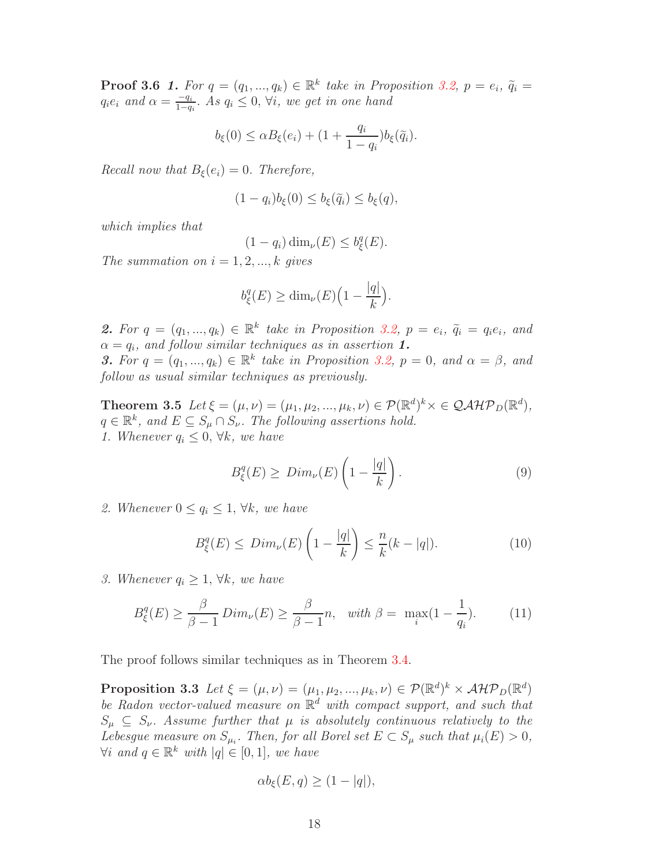**Proof 3.6 1.** For  $q = (q_1, ..., q_k) \in \mathbb{R}^k$  take in Proposition [3.2,](#page-14-0)  $p = e_i$ ,  $\tilde{q}_i =$  $q_i e_i$  and  $\alpha = \frac{-q_i}{1-a_i}$  $\frac{-q_i}{1-q_i}$ . As  $q_i \leq 0$ ,  $\forall i$ , we get in one hand

$$
b_{\xi}(0) \leq \alpha B_{\xi}(e_i) + (1 + \frac{q_i}{1 - q_i})b_{\xi}(\tilde{q}_i).
$$

Recall now that  $B_{\xi}(e_i) = 0$ . Therefore,

$$
(1 - q_i)b_{\xi}(0) \le b_{\xi}(\tilde{q}_i) \le b_{\xi}(q),
$$

which implies that

$$
(1 - q_i) \dim_{\nu}(E) \le b_{\xi}^q(E).
$$

The summation on  $i = 1, 2, ..., k$  gives

$$
b_{\xi}^{q}(E) \ge \dim_{\nu}(E) \Big(1 - \frac{|q|}{k}\Big).
$$

2. For  $q = (q_1, ..., q_k) \in \mathbb{R}^k$  take in Proposition [3.2,](#page-14-0)  $p = e_i$ ,  $\tilde{q}_i = q_i e_i$ , and  $\alpha = q_i$ , and follow similar techniques as in assertion 1. **3.** For  $q = (q_1, ..., q_k) \in \mathbb{R}^k$  take in Proposition [3.2,](#page-14-0)  $p = 0$ , and  $\alpha = \beta$ , and follow as usual similar techniques as previously.

**Theorem 3.5** Let  $\xi = (\mu, \nu) = (\mu_1, \mu_2, ..., \mu_k, \nu) \in \mathcal{P}(\mathbb{R}^d)^k \times \in \mathcal{Q} \mathcal{A} \mathcal{H} \mathcal{P}_D(\mathbb{R}^d)$ ,  $q \in \mathbb{R}^k$ , and  $E \subseteq S_\mu \cap S_\nu$ . The following assertions hold. 1. Whenever  $q_i \leq 0, \forall k, we have$ 

$$
B_{\xi}^{q}(E) \geq \text{Dim}_{\nu}(E) \left(1 - \frac{|q|}{k}\right). \tag{9}
$$

2. Whenever  $0 \le q_i \le 1, \forall k, we have$ 

$$
B_{\xi}^{q}(E) \leq Dim_{\nu}(E)\left(1 - \frac{|q|}{k}\right) \leq \frac{n}{k}(k - |q|). \tag{10}
$$

3. Whenever  $q_i \geq 1$ ,  $\forall k$ , we have

$$
B_{\xi}^{q}(E) \ge \frac{\beta}{\beta - 1} \operatorname{Dim}_{\nu}(E) \ge \frac{\beta}{\beta - 1} n, \quad \text{with } \beta = \max_{i} (1 - \frac{1}{q_i}). \tag{11}
$$

The proof follows similar techniques as in Theorem [3.4.](#page-16-0)

 $\text{Proposition 3.3 \:} Let \: \xi = (\mu, \nu) = (\mu_1, \mu_2, ..., \mu_k, \nu) \in \mathcal{P}(\mathbb{R}^d)^k \times \mathcal{AHP}_D(\mathbb{R}^d)$ be Radon vector-valued measure on  $\mathbb{R}^d$  with compact support, and such that  $S_{\mu} \subseteq S_{\nu}$ . Assume further that  $\mu$  is absolutely continuous relatively to the Lebesgue measure on  $S_{\mu_i}$ . Then, for all Borel set  $E \subset S_{\mu}$  such that  $\mu_i(E) > 0$ ,  $\forall i$  and  $q \in \mathbb{R}^k$  with  $|q| \in [0,1]$ , we have

<span id="page-17-0"></span>
$$
\alpha b_{\xi}(E, q) \ge (1 - |q|),
$$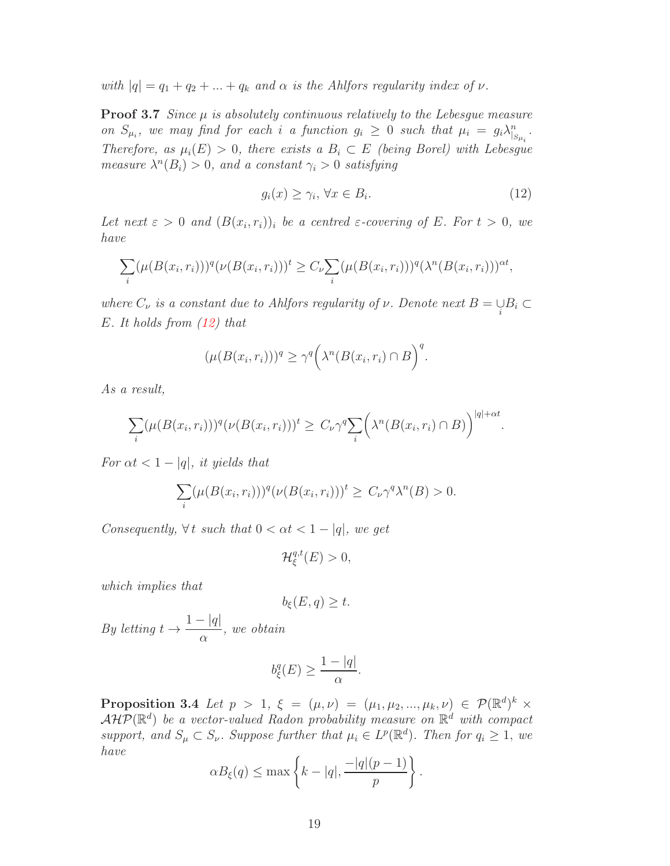with  $|q| = q_1 + q_2 + ... + q_k$  and  $\alpha$  is the Ahlfors regularity index of  $\nu$ .

**Proof 3.7** Since  $\mu$  is absolutely continuous relatively to the Lebesque measure on  $S_{\mu_i}$ , we may find for each i a function  $g_i \geq 0$  such that  $\mu_i = g_i \lambda_{|S_{\mu_i}}^n$ . Therefore, as  $\mu_i(E) > 0$ , there exists a  $B_i \subset E$  (being Borel) with Lebesgue measure  $\lambda^n(B_i) > 0$ , and a constant  $\gamma_i > 0$  satisfying

<span id="page-18-0"></span>
$$
g_i(x) \ge \gamma_i, \,\forall x \in B_i. \tag{12}
$$

Let next  $\varepsilon > 0$  and  $(B(x_i, r_i))_i$  be a centred  $\varepsilon$ -covering of E. For  $t > 0$ , we have

$$
\sum_i (\mu(B(x_i,r_i)))^q (\nu(B(x_i,r_i)))^t \geq C_{\nu} \sum_i (\mu(B(x_i,r_i)))^q (\lambda^n(B(x_i,r_i)))^{\alpha t},
$$

where  $C_{\nu}$  is a constant due to Ahlfors regularity of  $\nu$ . Denote next  $B = \bigcup_i B_i \subset$ E. It holds from [\(12\)](#page-18-0) that

$$
(\mu(B(x_i,r_i)))^q \ge \gamma^q \bigg(\lambda^n(B(x_i,r_i) \cap B)\bigg)^q.
$$

As a result,

$$
\sum_{i} (\mu(B(x_i, r_i)))^q (\nu(B(x_i, r_i)))^t \geq C_{\nu} \gamma^q \sum_{i} \left( \lambda^n (B(x_i, r_i) \cap B) \right)^{|q| + \alpha t}.
$$

For  $\alpha t < 1 - |q|$ , it yields that

$$
\sum_{i} (\mu(B(x_i, r_i)))^q (\nu(B(x_i, r_i)))^t \ge C_\nu \gamma^q \lambda^n(B) > 0.
$$

Consequently,  $\forall t$  such that  $0 < \alpha t < 1 - |q|$ , we get

 $\mathcal{H}^{q,t}_\varepsilon$  $_{\xi}^{q,t}(E) > 0,$ 

which implies that

$$
b_{\xi}(E,q) \geq t.
$$

By letting  $t \rightarrow$  $1 - |q|$  $\alpha$ , we obtain

$$
b^q_{\xi}(E) \ge \frac{1 - |q|}{\alpha}.
$$

<span id="page-18-1"></span>**Proposition 3.4** Let  $p > 1$ ,  $\xi = (\mu, \nu) = (\mu_1, \mu_2, ..., \mu_k, \nu) \in \mathcal{P}(\mathbb{R}^d)^k$  $\mathcal{AHP}(\mathbb{R}^d)$  be a vector-valued Radon probability measure on  $\mathbb{R}^d$  with compact support, and  $S_{\mu} \subset S_{\nu}$ . Suppose further that  $\mu_i \in L^p(\mathbb{R}^d)$ . Then for  $q_i \geq 1$ , we have

$$
\alpha B_{\xi}(q) \leq \max \left\{ k - |q|, \frac{-|q|(p-1)}{p} \right\}.
$$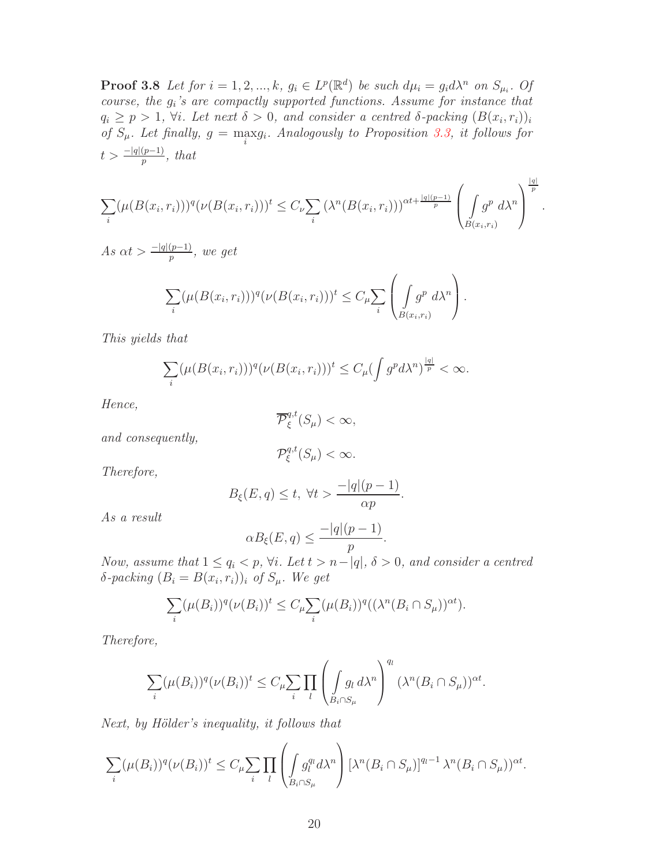**Proof 3.8** Let for  $i = 1, 2, ..., k$ ,  $g_i \in L^p(\mathbb{R}^d)$  be such  $d\mu_i = g_i d\lambda^n$  on  $S_{\mu_i}$ . Of course, the g<sup>i</sup> 's are compactly supported functions. Assume for instance that  $q_i \ge p > 1$ ,  $\forall i$ . Let next  $\delta > 0$ , and consider a centred  $\delta$ -packing  $(B(x_i, r_i))_i$ of  $S_{\mu}$ . Let finally,  $g = \max_{i} g_i$ . Analogously to Proposition [3.3,](#page-17-0) it follows for  $t > \frac{-|q|(p-1)}{p}$ , that

$$
\sum_{i} (\mu(B(x_i,r_i)))^q (\nu(B(x_i,r_i)))^t \leq C_{\nu} \sum_{i} (\lambda^n(B(x_i,r_i)))^{\alpha t + \frac{|q|(p-1)}{p}} \left(\int_{B(x_i,r_i)} g^p d\lambda^n\right)^{\frac{|q|}{p}}.
$$

As  $\alpha t > \frac{-|q|(p-1)}{p}$ , we get

$$
\sum_{i} (\mu(B(x_i, r_i)))^q (\nu(B(x_i, r_i)))^t \leq C_{\mu} \sum_{i} \left( \int_{B(x_i, r_i)} g^p d\lambda^n \right).
$$

This yields that

$$
\sum_{i} (\mu(B(x_i, r_i)))^q (\nu(B(x_i, r_i)))^t \leq C_{\mu} (\int g^p d\lambda^n)^{\frac{|q|}{p}} < \infty.
$$

Hence,

$$
\overline{\mathcal{P}}_{\xi}^{q,t}(S_{\mu}) < \infty,
$$

and consequently,

$$
\mathcal{P}_{\xi}^{q,t}(S_{\mu}) < \infty.
$$

Therefore,

$$
B_{\xi}(E,q) \leq t, \ \forall t > \frac{-|q|(p-1)}{\alpha p}.
$$

As a result

$$
\alpha B_{\xi}(E,q) \le \frac{-|q|(p-1)}{p}.
$$

Now, assume that  $1 \leq q_i < p$ ,  $\forall i$ . Let  $t > n-|q|$ ,  $\delta > 0$ , and consider a centred  $\delta$ -packing  $(B_i = B(x_i, r_i))_i$  of  $S_\mu$ . We get

$$
\sum_{i} (\mu(B_i))^q (\nu(B_i))^t \leq C_{\mu} \sum_{i} (\mu(B_i))^q ((\lambda^n (B_i \cap S_{\mu}))^{\alpha t}).
$$

Therefore,

$$
\sum_{i} (\mu(B_i))^q (\nu(B_i))^t \leq C_{\mu} \sum_{i} \prod_{l} \left( \int_{B_i \cap S_{\mu}} g_l \, d\lambda^n \right)^{q_l} (\lambda^n(B_i \cap S_{\mu}))^{\alpha t}.
$$

Next, by Hölder's inequality, it follows that

$$
\sum_{i} (\mu(B_i))^q (\nu(B_i))^t \leq C_{\mu} \sum_{i} \prod_{l} \left( \int_{B_i \cap S_{\mu}} g_l^q d\lambda^n \right) [\lambda^n (B_i \cap S_{\mu})]^{q_l - 1} \lambda^n (B_i \cap S_{\mu})^{\alpha t}.
$$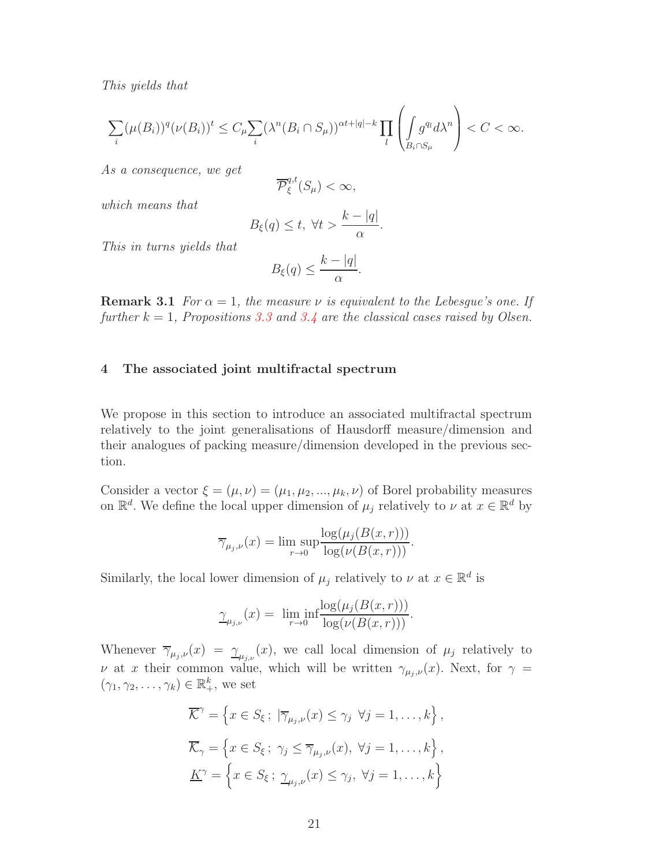This yields that

$$
\sum_{i} (\mu(B_i))^q (\nu(B_i))^t \leq C_{\mu} \sum_{i} (\lambda^n(B_i \cap S_{\mu}))^{\alpha t + |q| - k} \prod_{l} \left( \int_{B_i \cap S_{\mu}} g^q d\lambda^n \right) < C < \infty.
$$

As a consequence, we get

$$
\overline{\mathcal{P}}_{\xi}^{q,t}(S_{\mu}) < \infty,
$$

which means that

$$
B_{\xi}(q) \leq t, \ \forall t > \frac{k - |q|}{\alpha}.
$$

This in turns yields that

$$
B_{\xi}(q) \leq \frac{k - |q|}{\alpha}.
$$

**Remark 3.1** For  $\alpha = 1$ , the measure v is equivalent to the Lebesque's one. If further  $k = 1$ , Propositions [3.3](#page-17-0) and [3.4](#page-18-1) are the classical cases raised by Olsen.

#### 4 The associated joint multifractal spectrum

We propose in this section to introduce an associated multifractal spectrum relatively to the joint generalisations of Hausdorff measure/dimension and their analogues of packing measure/dimension developed in the previous section.

Consider a vector  $\xi = (\mu, \nu) = (\mu_1, \mu_2, ..., \mu_k, \nu)$  of Borel probability measures on  $\mathbb{R}^d$ . We define the local upper dimension of  $\mu_j$  relatively to  $\nu$  at  $x \in \mathbb{R}^d$  by

$$
\overline{\gamma}_{\mu_j,\nu}(x) = \limsup_{r \to 0} \frac{\log(\mu_j(B(x,r)))}{\log(\nu(B(x,r)))}.
$$

Similarly, the local lower dimension of  $\mu_j$  relatively to  $\nu$  at  $x \in \mathbb{R}^d$  is

$$
\underline{\gamma}_{\mu_{j,\nu}}(x) = \liminf_{r \to 0} \frac{\log(\mu_j(B(x,r)))}{\log(\nu(B(x,r)))}.
$$

Whenever  $\overline{\gamma}_{\mu_j,\nu}(x) = \underline{\gamma}_{\mu_j,\nu}(x)$ , we call local dimension of  $\mu_j$  relatively to ν at x their common value, which will be written  $γ_{μ_j,ν}(x)$ . Next, for  $γ =$  $(\gamma_1, \gamma_2, \ldots, \gamma_k) \in \mathbb{R}_+^k$ , we set

$$
\overline{\mathcal{K}}^{\gamma} = \left\{ x \in S_{\xi} ; \ |\overline{\gamma}_{\mu_{j},\nu}(x) \leq \gamma_{j} \ \forall j = 1,\dots,k \right\},
$$

$$
\overline{\mathcal{K}}_{\gamma} = \left\{ x \in S_{\xi} ; \ \gamma_{j} \leq \overline{\gamma}_{\mu_{j},\nu}(x), \ \forall j = 1,\dots,k \right\},
$$

$$
\underline{K}^{\gamma} = \left\{ x \in S_{\xi} ; \ \underline{\gamma}_{\mu_{j},\nu}(x) \leq \gamma_{j}, \ \forall j = 1,\dots,k \right\}
$$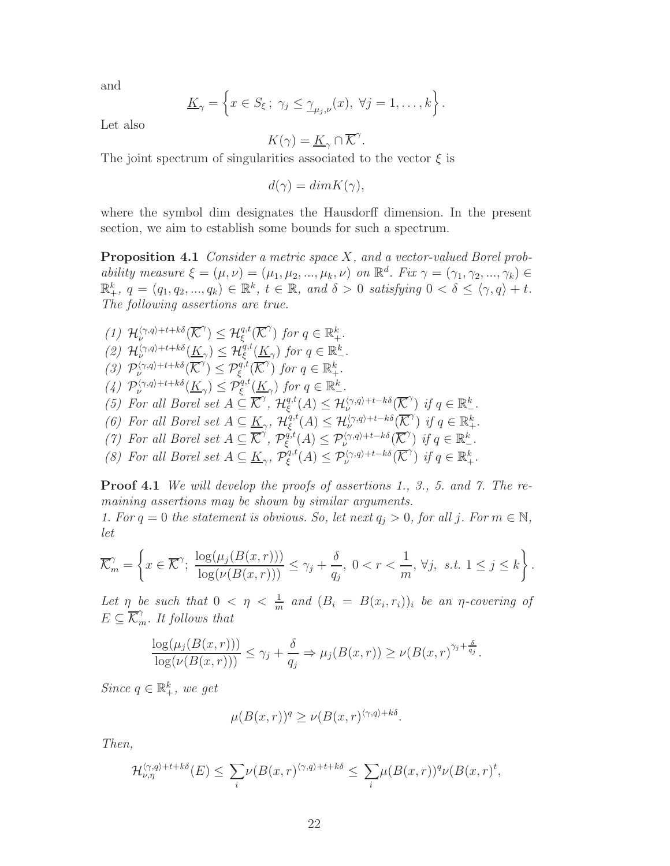and

$$
\underline{K}_{\gamma} = \left\{ x \in S_{\xi} ; \ \gamma_j \leq \underline{\gamma}_{\mu_j,\nu}(x), \ \forall j = 1, \ldots, k \right\}.
$$

Let also

$$
K(\gamma) = \underline{K}_{\gamma} \cap \overline{\mathcal{K}}^{\gamma}.
$$

The joint spectrum of singularities associated to the vector  $\xi$  is

 $d(\gamma) = dim K(\gamma),$ 

where the symbol dim designates the Hausdorff dimension. In the present section, we aim to establish some bounds for such a spectrum.

Proposition 4.1 Consider a metric space X, and a vector-valued Borel probability measure  $\xi = (\mu, \nu) = (\mu_1, \mu_2, ..., \mu_k, \nu)$  on  $\mathbb{R}^d$ . Fix  $\gamma = (\gamma_1, \gamma_2, ..., \gamma_k) \in$  $\mathbb{R}^k_+$ ,  $q = (q_1, q_2, ..., q_k) \in \mathbb{R}^k$ ,  $t \in \mathbb{R}$ , and  $\delta > 0$  satisfying  $0 < \delta \leq \langle \gamma, q \rangle + t$ . The following assertions are true.

\n- (1) 
$$
\mathcal{H}_{\nu}^{\langle \gamma, q \rangle + t + k\delta}(\overline{\mathcal{K}}^{\gamma}) \leq \mathcal{H}_{\xi}^{q,t}(\overline{\mathcal{K}}^{\gamma})
$$
 for  $q \in \mathbb{R}_{+}^{k}$ .
\n- (2)  $\mathcal{H}_{\nu}^{\langle \gamma, q \rangle + t + k\delta}(\underline{K}_{\gamma}) \leq \mathcal{H}_{\xi}^{q,t}(\underline{K}_{\gamma})$  for  $q \in \mathbb{R}_{+}^{k}$ .
\n- (3)  $\mathcal{P}_{\nu}^{\langle \gamma, q \rangle + t + k\delta}(\overline{\mathcal{K}}^{\gamma}) \leq \mathcal{P}_{\xi}^{q,t}(\overline{\mathcal{K}}^{\gamma})$  for  $q \in \mathbb{R}_{+}^{k}$ .
\n- (4)  $\mathcal{P}_{\nu}^{\langle \gamma, q \rangle + t + k\delta}(\underline{K}_{\gamma}) \leq \mathcal{P}_{\xi}^{q,t}(\underline{K}_{\gamma})$  for  $q \in \mathbb{R}_{-}^{k}$ .
\n- (5) For all Borel set  $A \subseteq \overline{\mathcal{K}}^{\gamma}$ ,  $\mathcal{H}_{\xi}^{q,t}(A) \leq \mathcal{H}_{\nu}^{\langle \gamma, q \rangle + t - k\delta}(\overline{\mathcal{K}}^{\gamma})$  if  $q \in \mathbb{R}_{+}^{k}$ .
\n- (6) For all Borel set  $A \subseteq \underline{K}_{\gamma}$ ,  $\mathcal{H}_{\xi}^{q,t}(A) \leq \mathcal{P}_{\nu}^{\langle \gamma, q \rangle + t - k\delta}(\overline{\mathcal{K}}^{\gamma})$  if  $q \in \mathbb{R}_{+}^{k}$ .
\n- (7) For all Borel set  $A \subseteq \overline{\mathcal{K}}^{\gamma}$ ,  $\mathcal{P}_{\xi}^{q,t}(A) \leq \mathcal{P}_{\nu}^{\langle \gamma, q \rangle + t - k\delta}(\overline{\mathcal{K}}^{\gamma})$  if  $q \in \mathbb{R}_{-}^{k}$

**Proof 4.1** We will develop the proofs of assertions 1., 3., 5. and 7. The remaining assertions may be shown by similar arguments.

1. For  $q = 0$  the statement is obvious. So, let next  $q_j > 0$ , for all j. For  $m \in \mathbb{N}$ , let

$$
\overline{\mathcal{K}}_m^{\gamma} = \left\{ x \in \overline{\mathcal{K}}^{\gamma}; \ \frac{\log(\mu_j(B(x,r)))}{\log(\nu(B(x,r)))} \leq \gamma_j + \frac{\delta}{q_j}, \ 0 < r < \frac{1}{m}, \ \forall j, \ s.t. \ 1 \leq j \leq k \right\}.
$$

Let  $\eta$  be such that  $0 < \eta < \frac{1}{m}$  and  $(B_i = B(x_i, r_i))$  be an  $\eta$ -covering of  $E \subseteq \overline{\mathcal{K}}_m^{\gamma}$ . It follows that

$$
\frac{\log(\mu_j(B(x,r)))}{\log(\nu(B(x,r)))} \leq \gamma_j + \frac{\delta}{q_j} \Rightarrow \mu_j(B(x,r)) \geq \nu(B(x,r)^{\gamma_j + \frac{\delta}{q_j}}.
$$

Since  $q \in \mathbb{R}^k_+$ , we get

$$
\mu(B(x,r))^q \ge \nu(B(x,r)^{\langle \gamma, q \rangle + k\delta}.
$$

Then,

$$
\mathcal{H}_{\nu,\eta}^{\langle \gamma,q\rangle+t+k\delta}(E) \leq \sum_{i} \nu(B(x,r)^{\langle \gamma,q\rangle+t+k\delta} \leq \sum_{i} \mu(B(x,r))^q \nu(B(x,r)^t,
$$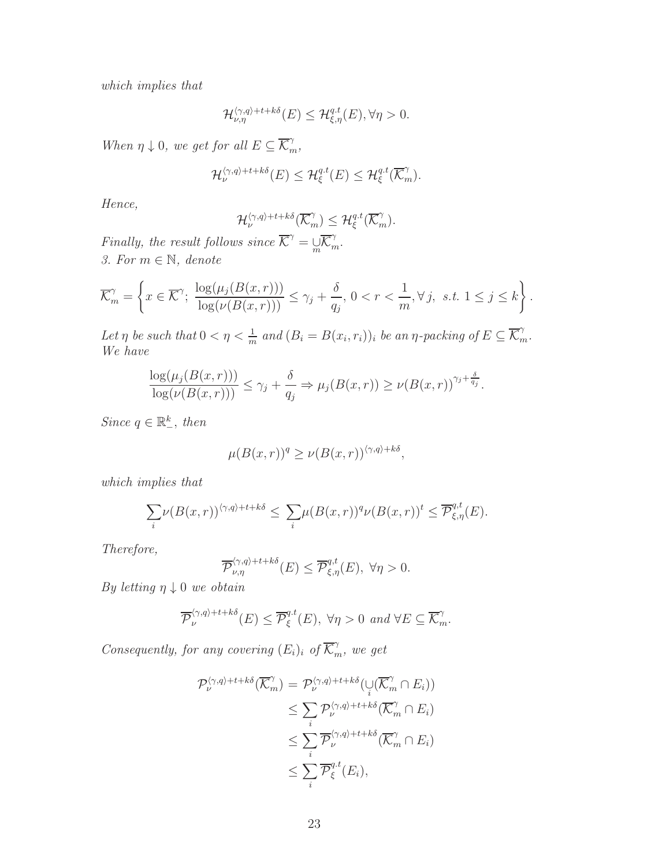which implies that

$$
\mathcal{H}_{\nu,\eta}^{\langle\gamma,q\rangle+t+k\delta}(E)\leq \mathcal{H}_{\xi,\eta}^{q,t}(E), \forall \eta>0.
$$

When  $\eta \downarrow 0$ , we get for all  $E \subseteq \overline{\mathcal{K}}_m^{\gamma}$ ,

$$
\mathcal{H}_{\nu}^{\langle \gamma, q \rangle + t + k \delta}(E) \leq \mathcal{H}_{\xi}^{q.t}(E) \leq \mathcal{H}_{\xi}^{q.t}(\overline{\mathcal{K}}_{m}^{\gamma}).
$$

Hence,

$$
\mathcal{H}_{\nu}^{\langle \gamma, q \rangle + t + k \delta}(\overline{\mathcal{K}}_{m}^{\gamma}) \leq \mathcal{H}_{\xi}^{q,t}(\overline{\mathcal{K}}_{m}^{\gamma}).
$$

Finally, the result follows since  $\overline{\mathcal{K}}^{\gamma} = \mathcal{L} \overline{\mathcal{K}}^{\gamma}_m$ . 3. For  $m \in \mathbb{N}$ , denote

$$
\overline{\mathcal{K}}_m^{\gamma} = \left\{ x \in \overline{\mathcal{K}}^{\gamma}; \ \frac{\log(\mu_j(B(x,r)))}{\log(\nu(B(x,r)))} \leq \gamma_j + \frac{\delta}{q_j}, \ 0 < r < \frac{1}{m}, \forall j, \ \text{s.t.} \ 1 \leq j \leq k \right\}.
$$

Let  $\eta$  be such that  $0 < \eta < \frac{1}{m}$  and  $(B_i = B(x_i, r_i))_i$  be an  $\eta$ -packing of  $E \subseteq \overline{\mathcal{K}}_m^{\gamma}$ . We have

$$
\frac{\log(\mu_j(B(x,r)))}{\log(\nu(B(x,r)))} \le \gamma_j + \frac{\delta}{q_j} \Rightarrow \mu_j(B(x,r)) \ge \nu(B(x,r))^{\gamma_j + \frac{\delta}{q_j}}.
$$

Since  $q \in \mathbb{R}^k_-,$  then

$$
\mu(B(x,r))^q \ge \nu(B(x,r))^{\langle \gamma,q \rangle + k\delta},
$$

which implies that

$$
\sum_{i} \nu(B(x,r))^{\langle \gamma, q \rangle + t + k\delta} \leq \sum_{i} \mu(B(x,r))^q \nu(B(x,r))^t \leq \overline{\mathcal{P}}_{\xi,\eta}^{q,t}(E).
$$

Therefore,

$$
\overline{\mathcal{P}}_{\nu,\eta}^{\langle \gamma,q\rangle+t+k\delta}(E) \leq \overline{\mathcal{P}}_{\xi,\eta}^{q,t}(E), \ \forall \eta > 0.
$$

By letting  $\eta \downarrow 0$  we obtain

$$
\overline{\mathcal{P}}_{\nu}^{\langle \gamma, q \rangle + t + k \delta}(E) \leq \overline{\mathcal{P}}_{\xi}^{q,t}(E), \ \forall \eta > 0 \ and \ \forall E \subseteq \overline{\mathcal{K}}_{m}^{\gamma}.
$$

Consequently, for any covering  $(E_i)_i$  of  $\overline{\mathcal{K}}_m^{\gamma}$ , we get

$$
\mathcal{P}_{\nu}^{\langle \gamma, q \rangle + t + k \delta}(\overline{\mathcal{K}}_{m}^{\gamma}) = \mathcal{P}_{\nu}^{\langle \gamma, q \rangle + t + k \delta}(\bigcup_{i} (\overline{\mathcal{K}}_{m}^{\gamma} \cap E_{i}))
$$
  
\n
$$
\leq \sum_{i} \mathcal{P}_{\nu}^{\langle \gamma, q \rangle + t + k \delta}(\overline{\mathcal{K}}_{m}^{\gamma} \cap E_{i})
$$
  
\n
$$
\leq \sum_{i} \overline{\mathcal{P}}_{\nu}^{\langle \gamma, q \rangle + t + k \delta}(\overline{\mathcal{K}}_{m}^{\gamma} \cap E_{i})
$$
  
\n
$$
\leq \sum_{i} \overline{\mathcal{P}}_{\xi}^{q \cdot t}(E_{i}),
$$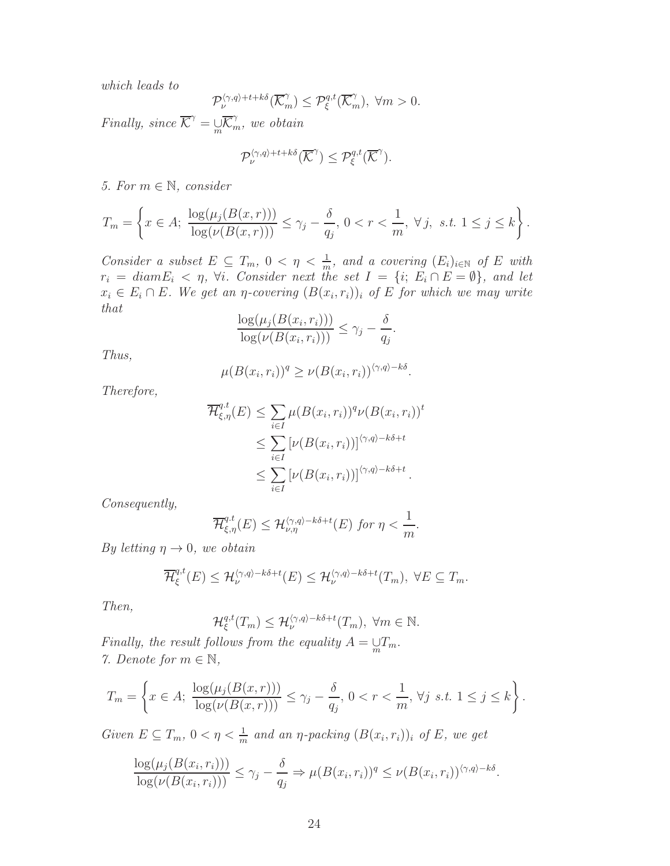which leads to

$$
\mathcal{P}_{\nu}^{\langle \gamma, q \rangle + t + k \delta}(\overline{\mathcal{K}}_m^{\gamma}) \leq \mathcal{P}_{\xi}^{q,t}(\overline{\mathcal{K}}_m^{\gamma}), \ \forall m > 0.
$$

Finally, since  $\overline{\mathcal{K}}^{\gamma} = \overline{\mathcal{K}}^{\gamma}_m$ , we obtain

$$
\mathcal{P}^{\langle \gamma, q \rangle + t + k \delta}_{\nu}(\overline{\mathcal{K}}^{\gamma}) \leq \mathcal{P}^{q,t}_{\xi}(\overline{\mathcal{K}}^{\gamma}).
$$

5. For  $m \in \mathbb{N}$ , consider

$$
T_m = \left\{ x \in A; \ \frac{\log(\mu_j(B(x,r)))}{\log(\nu(B(x,r)))} \le \gamma_j - \frac{\delta}{q_j}, \ 0 < r < \frac{1}{m}, \ \forall \ j, \ s.t. \ 1 \le j \le k \right\}.
$$

Consider a subset  $E \subseteq T_m$ ,  $0 < \eta < \frac{1}{m}$ , and a covering  $(E_i)_{i \in \mathbb{N}}$  of E with  $r_i = diam E_i < \eta$ ,  $\forall i$ . Consider next the set  $I = \{i; E_i \cap E = \emptyset\}$ , and let  $x_i \in E_i \cap E$ . We get an  $\eta$ -covering  $(B(x_i, r_i))$  of E for which we may write that

$$
\frac{\log(\mu_j(B(x_i,r_i)))}{\log(\nu(B(x_i,r_i)))} \le \gamma_j - \frac{\delta}{q_j}.
$$

Thus,

$$
\mu(B(x_i,r_i))^q \geq \nu(B(x_i,r_i))^{\langle \gamma,q \rangle - k\delta}.
$$

Therefore,

$$
\overline{\mathcal{H}}_{\xi,\eta}^{q,t}(E) \leq \sum_{i \in I} \mu(B(x_i, r_i))^q \nu(B(x_i, r_i))^t
$$
  
\n
$$
\leq \sum_{i \in I} \left[ \nu(B(x_i, r_i)) \right]^{(\gamma,q)-k\delta+t}
$$
  
\n
$$
\leq \sum_{i \in I} \left[ \nu(B(x_i, r_i)) \right]^{(\gamma,q)-k\delta+t}.
$$

Consequently,

$$
\overline{\mathcal{H}}_{\xi,\eta}^{q,t}(E) \leq \mathcal{H}_{\nu,\eta}^{\langle \gamma,q \rangle - k\delta + t}(E) \text{ for } \eta < \frac{1}{m}.
$$

By letting  $\eta \rightarrow 0$ , we obtain

$$
\overline{\mathcal{H}}_{\xi}^{q,t}(E) \leq \mathcal{H}_{\nu}^{\langle \gamma,q \rangle - k\delta + t}(E) \leq \mathcal{H}_{\nu}^{\langle \gamma,q \rangle - k\delta + t}(T_m), \ \forall E \subseteq T_m.
$$

Then,

$$
\mathcal{H}_{\xi}^{q,t}(T_m) \leq \mathcal{H}_{\nu}^{\langle \gamma, q \rangle - k\delta + t}(T_m), \ \forall m \in \mathbb{N}.
$$

Finally, the result follows from the equality  $A = \bigcup_{m} T_m$ . 7. Denote for  $m \in \mathbb{N}$ ,

$$
T_m = \left\{ x \in A; \ \frac{\log(\mu_j(B(x,r)))}{\log(\nu(B(x,r)))} \le \gamma_j - \frac{\delta}{q_j}, \ 0 < r < \frac{1}{m}, \ \forall j \ \text{ s.t. } 1 \le j \le k \right\}.
$$

Given  $E \subseteq T_m$ ,  $0 < \eta < \frac{1}{m}$  and an  $\eta$ -packing  $(B(x_i, r_i))_i$  of E, we get

$$
\frac{\log(\mu_j(B(x_i,r_i)))}{\log(\nu(B(x_i,r_i)))} \leq \gamma_j - \frac{\delta}{q_j} \Rightarrow \mu(B(x_i,r_i))^q \leq \nu(B(x_i,r_i))^{(\gamma,q)-k\delta}.
$$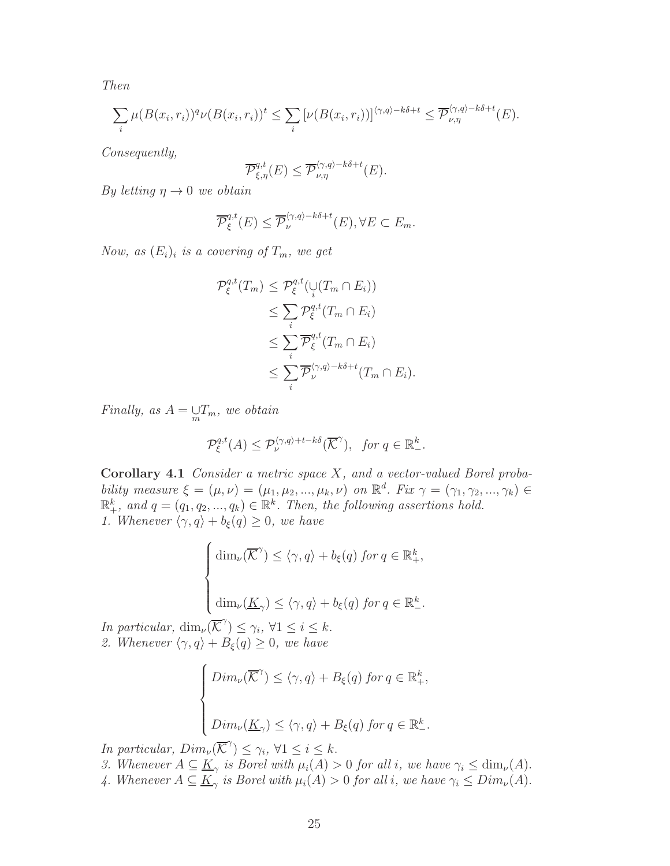Then

$$
\sum_{i} \mu(B(x_i, r_i))^q \nu(B(x_i, r_i))^t \leq \sum_{i} \left[ \nu(B(x_i, r_i)) \right]^{\langle \gamma, q \rangle - k\delta + t} \leq \overline{\mathcal{P}}_{\nu, \eta}^{\langle \gamma, q \rangle - k\delta + t}(E).
$$

Consequently,

$$
\overline{\mathcal{P}}_{\xi,\eta}^{q,t}(E) \leq \overline{\mathcal{P}}_{\nu,\eta}^{\langle \gamma,q\rangle - k\delta + t}(E).
$$

By letting  $\eta \rightarrow 0$  we obtain

$$
\overline{\mathcal{P}}_{\xi}^{q,t}(E) \leq \overline{\mathcal{P}}_{\nu}^{\langle \gamma,q \rangle - k\delta + t}(E), \forall E \subset E_m.
$$

Now, as  $(E_i)_i$  is a covering of  $T_m$ , we get

$$
\mathcal{P}_{\xi}^{q,t}(T_m) \leq \mathcal{P}_{\xi}^{q,t}(\bigcup_{i} (T_m \cap E_i))
$$
  
\n
$$
\leq \sum_{i} \mathcal{P}_{\xi}^{q,t}(T_m \cap E_i)
$$
  
\n
$$
\leq \sum_{i} \overline{\mathcal{P}}_{\xi}^{q,t}(T_m \cap E_i)
$$
  
\n
$$
\leq \sum_{i} \overline{\mathcal{P}}_{\nu}^{(\gamma,q)-k\delta+t}(T_m \cap E_i).
$$

Finally, as  $A = \bigcup_{m} T_m$ , we obtain

$$
\mathcal{P}_{\xi}^{q,t}(A) \leq \mathcal{P}_{\nu}^{\langle \gamma, q \rangle + t - k\delta}(\overline{\mathcal{K}}^{\gamma}), \ \text{for } q \in \mathbb{R}^{k}_{-}.
$$

<span id="page-24-0"></span>Corollary 4.1 Consider a metric space X, and a vector-valued Borel probability measure  $\xi = (\mu, \nu) = (\mu_1, \mu_2, ..., \mu_k, \nu)$  on  $\mathbb{R}^d$ . Fix  $\gamma = (\gamma_1, \gamma_2, ..., \gamma_k) \in$  $\mathbb{R}^k_+$ , and  $q = (q_1, q_2, ..., q_k) \in \mathbb{R}^k$ . Then, the following assertions hold. 1. Whenever  $\langle \gamma, q \rangle + b_{\xi}(q) \geq 0$ , we have

$$
\label{eq:11} \left\{ \begin{aligned} \dim_{\nu}(\overline{\mathcal{K}}^{\gamma}) & \leq \langle \gamma, q \rangle + b_{\xi}(q) \; \textit{for} \; q \in \mathbb{R}_{+}^{k}, \\[1ex] \dim_{\nu}(\underline{K}_{\gamma}) & \leq \langle \gamma, q \rangle + b_{\xi}(q) \; \textit{for} \; q \in \mathbb{R}_{-}^{k}. \end{aligned} \right.
$$

In particular,  $\dim_{\nu}(\overline{\mathcal{K}}^{\gamma}) \leq \gamma_i$ ,  $\forall 1 \leq i \leq k$ . 2. Whenever  $\langle \gamma, q \rangle + B_{\xi}(q) \geq 0$ , we have

$$
\begin{cases}\n\text{Dim}_{\nu}(\overline{\mathcal{K}}^{\gamma}) \leq \langle \gamma, q \rangle + B_{\xi}(q) \text{ for } q \in \mathbb{R}_{+}^{k}, \\
\text{Dim}_{\nu}(\underline{K}_{\gamma}) \leq \langle \gamma, q \rangle + B_{\xi}(q) \text{ for } q \in \mathbb{R}_{-}^{k}.\n\end{cases}
$$

In particular,  $Dim_{\nu}(\overline{\mathcal{K}}^{\gamma}) \leq \gamma_i, \forall 1 \leq i \leq k.$ 

- 3. Whenever  $A \subseteq \underline{K}_{\gamma}$  is Borel with  $\mu_i(A) > 0$  for all i, we have  $\gamma_i \leq \dim_{\nu}(A)$ .
- 4. Whenever  $A \subseteq \underline{K}_{\gamma}$  is Borel with  $\mu_i(A) > 0$  for all i, we have  $\gamma_i \leq Dim_{\nu}(A)$ .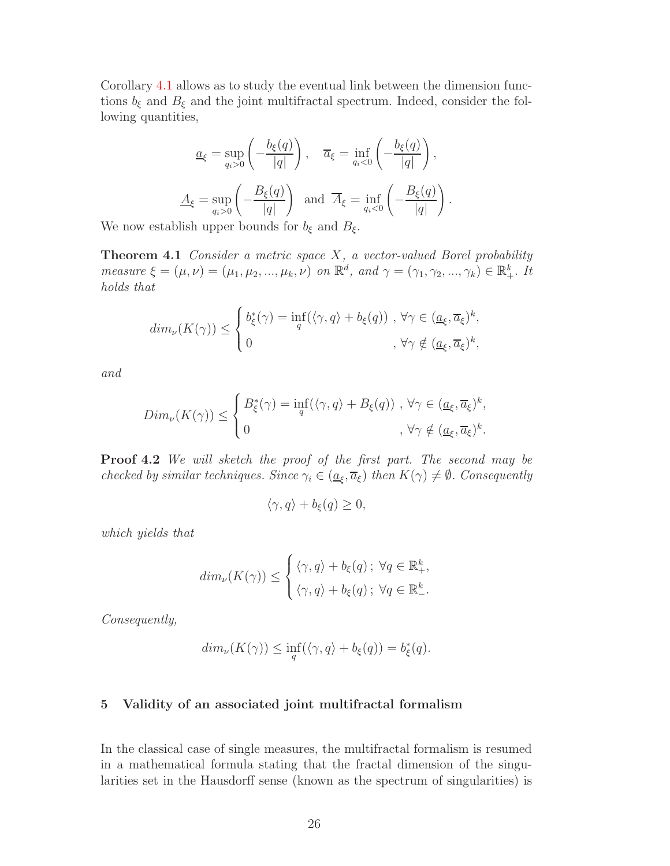Corollary [4.1](#page-24-0) allows as to study the eventual link between the dimension functions  $b_{\xi}$  and  $B_{\xi}$  and the joint multifractal spectrum. Indeed, consider the following quantities,

$$
\underline{a}_{\xi} = \sup_{q_i > 0} \left( -\frac{b_{\xi}(q)}{|q|} \right), \quad \overline{a}_{\xi} = \inf_{q_i < 0} \left( -\frac{b_{\xi}(q)}{|q|} \right),
$$

$$
\underline{A}_{\xi} = \sup_{q_i > 0} \left( -\frac{B_{\xi}(q)}{|q|} \right) \text{ and } \overline{A}_{\xi} = \inf_{q_i < 0} \left( -\frac{B_{\xi}(q)}{|q|} \right).
$$

We now establish upper bounds for  $b_{\xi}$  and  $B_{\xi}$ .

**Theorem 4.1** Consider a metric space  $X$ , a vector-valued Borel probability measure  $\xi = (\mu, \nu) = (\mu_1, \mu_2, ..., \mu_k, \nu)$  on  $\mathbb{R}^d$ , and  $\gamma = (\gamma_1, \gamma_2, ..., \gamma_k) \in \mathbb{R}^k_+$ . It holds that

$$
dim_{\nu}(K(\gamma)) \leq \begin{cases} b_{\xi}^{*}(\gamma) = \inf_{q}(\langle \gamma, q \rangle + b_{\xi}(q)) , \ \forall \gamma \in (\underline{a}_{\xi}, \overline{a}_{\xi})^{k}, \\ 0, \qquad \qquad , \ \forall \gamma \notin (\underline{a}_{\xi}, \overline{a}_{\xi})^{k}, \end{cases}
$$

and

$$
Dim_{\nu}(K(\gamma)) \leq \begin{cases} B_{\xi}^{*}(\gamma) = \inf_{q} (\langle \gamma, q \rangle + B_{\xi}(q)) , \forall \gamma \in (\underline{a}_{\xi}, \overline{a}_{\xi})^{k}, \\ 0, \quad , \forall \gamma \notin (\underline{a}_{\xi}, \overline{a}_{\xi})^{k}. \end{cases}
$$

Proof 4.2 We will sketch the proof of the first part. The second may be checked by similar techniques. Since  $\gamma_i \in (\underline{a}_{\xi}, \overline{a}_{\xi})$  then  $K(\gamma) \neq \emptyset$ . Consequently

$$
\langle \gamma, q \rangle + b_{\xi}(q) \ge 0,
$$

which yields that

$$
dim_{\nu}(K(\gamma)) \leq \begin{cases} \langle \gamma, q \rangle + b_{\xi}(q) \, ; \, \forall q \in \mathbb{R}_{+}^{k}, \\ \langle \gamma, q \rangle + b_{\xi}(q) \, ; \, \forall q \in \mathbb{R}_{-}^{k}. \end{cases}
$$

Consequently,

$$
dim_{\nu}(K(\gamma)) \le \inf_{q}(\langle \gamma, q \rangle + b_{\xi}(q)) = b_{\xi}^{*}(q).
$$

### 5 Validity of an associated joint multifractal formalism

In the classical case of single measures, the multifractal formalism is resumed in a mathematical formula stating that the fractal dimension of the singularities set in the Hausdorff sense (known as the spectrum of singularities) is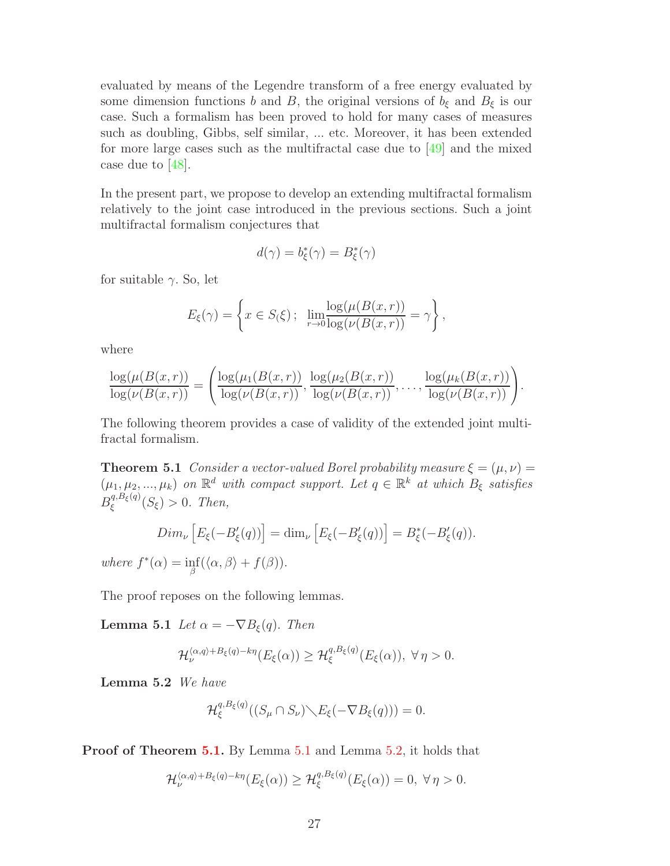evaluated by means of the Legendre transform of a free energy evaluated by some dimension functions b and B, the original versions of  $b_{\xi}$  and  $B_{\xi}$  is our case. Such a formalism has been proved to hold for many cases of measures such as doubling, Gibbs, self similar, ... etc. Moreover, it has been extended for more large cases such as the multifractal case due to  $[49]$  and the mixed case due to [\[48\]](#page-31-4).

In the present part, we propose to develop an extending multifractal formalism relatively to the joint case introduced in the previous sections. Such a joint multifractal formalism conjectures that

$$
d(\gamma) = b_{\xi}^*(\gamma) = B_{\xi}^*(\gamma)
$$

for suitable  $\gamma$ . So, let

$$
E_{\xi}(\gamma) = \left\{ x \in S(\xi) \, ; \, \lim_{r \to 0} \frac{\log(\mu(B(x, r))}{\log(\nu(B(x, r)))} = \gamma \right\},\,
$$

where

$$
\frac{\log(\mu(B(x,r))}{\log(\nu(B(x,r))}) = \left( \frac{\log(\mu_1(B(x,r)))}{\log(\nu(B(x,r))}, \frac{\log(\mu_2(B(x,r)))}{\log(\nu(B(x,r))}, \dots, \frac{\log(\mu_k(B(x,r)))}{\log(\nu(B(x,r))} \right).
$$

<span id="page-26-0"></span>The following theorem provides a case of validity of the extended joint multifractal formalism.

**Theorem 5.1** Consider a vector-valued Borel probability measure  $\xi = (\mu, \nu)$  $(\mu_1, \mu_2, ..., \mu_k)$  on  $\mathbb{R}^d$  with compact support. Let  $q \in \mathbb{R}^k$  at which  $B_{\xi}$  satisfies  $B_{\varepsilon}^{q, B_{\xi}(q)}$  $\zeta^{q, \mathcal{D}_{\xi}(q)}(S_{\xi}) > 0$ . Then,

$$
Dim_{\nu}\left[E_{\xi}(-B_{\xi}'(q))\right] = \dim_{\nu}\left[E_{\xi}(-B_{\xi}'(q))\right] = B_{\xi}^{*}(-B_{\xi}'(q)).
$$

where  $f^*(\alpha) = \inf_{\beta} (\langle \alpha, \beta \rangle + f(\beta)).$ 

The proof reposes on the following lemmas.

**Lemma 5.1** Let  $\alpha = -\nabla B_{\xi}(q)$ . Then

$$
\mathcal{H}_{\nu}^{\langle \alpha,q \rangle + B_{\xi}(q) - k\eta} (E_{\xi}(\alpha)) \geq \mathcal{H}_{\xi}^{q, B_{\xi}(q)} (E_{\xi}(\alpha)), \ \forall \eta > 0.
$$

<span id="page-26-2"></span>Lemma 5.2 We have

<span id="page-26-1"></span>
$$
\mathcal{H}_{\xi}^{q, B_{\xi}(q)}((S_{\mu} \cap S_{\nu}) \backslash E_{\xi}(-\nabla B_{\xi}(q))) = 0.
$$

Proof of Theorem [5.1.](#page-26-0) By Lemma [5.1](#page-26-1) and Lemma [5.2,](#page-26-2) it holds that

$$
\mathcal{H}_{\nu}^{\langle \alpha,q\rangle + B_{\xi}(q) - k\eta} (E_{\xi}(\alpha)) \geq \mathcal{H}_{\xi}^{q, B_{\xi}(q)} (E_{\xi}(\alpha)) = 0, \ \forall \eta > 0.
$$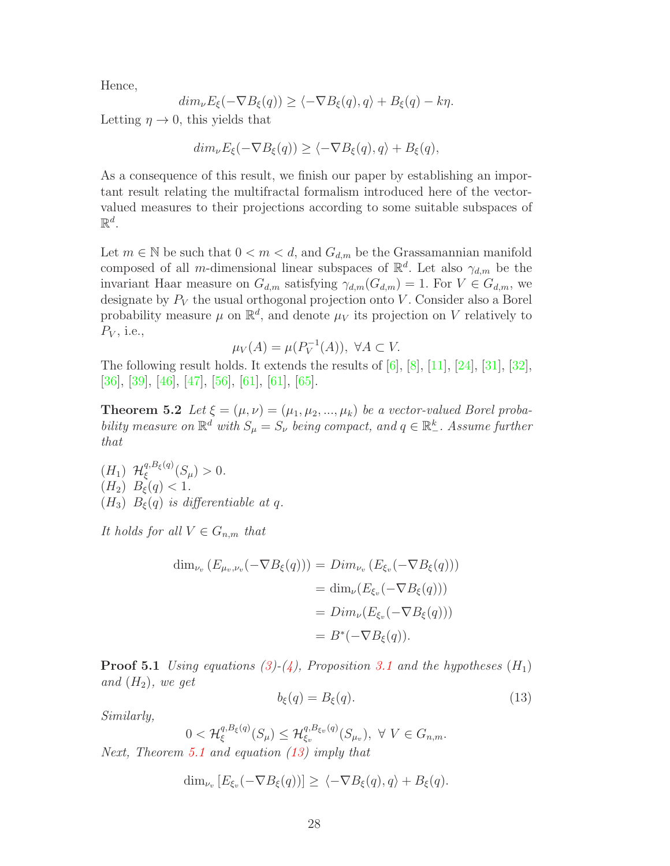Hence,

$$
dim_{\nu}E_{\xi}(-\nabla B_{\xi}(q)) \geq \langle -\nabla B_{\xi}(q), q \rangle + B_{\xi}(q) - k\eta.
$$

Letting  $\eta \to 0$ , this yields that

$$
dim_{\nu} E_{\xi}(-\nabla B_{\xi}(q)) \ge \langle -\nabla B_{\xi}(q), q \rangle + B_{\xi}(q),
$$

As a consequence of this result, we finish our paper by establishing an important result relating the multifractal formalism introduced here of the vectorvalued measures to their projections according to some suitable subspaces of  $\mathbb{R}^d$ .

Let  $m \in \mathbb{N}$  be such that  $0 < m < d$ , and  $G_{d,m}$  be the Grassamannian manifold composed of all *m*-dimensional linear subspaces of  $\mathbb{R}^d$ . Let also  $\gamma_{d,m}$  be the invariant Haar measure on  $G_{d,m}$  satisfying  $\gamma_{d,m}(G_{d,m}) = 1$ . For  $V \in G_{d,m}$ , we designate by  $P_V$  the usual orthogonal projection onto V. Consider also a Borel probability measure  $\mu$  on  $\mathbb{R}^d$ , and denote  $\mu_V$  its projection on V relatively to  $P_V$ , i.e.,

$$
\mu_V(A) = \mu(P_V^{-1}(A)), \ \forall A \subset V.
$$

The following result holds. It extends the results of [\[6\]](#page-29-11), [\[8\]](#page-29-12), [\[11\]](#page-29-2), [\[24\]](#page-30-1), [\[31\]](#page-30-12), [\[32\]](#page-30-13), [\[36\]](#page-31-12), [\[39\]](#page-31-13), [\[46\]](#page-31-14), [\[47\]](#page-31-3), [\[56\]](#page-32-13), [\[61\]](#page-32-14), [\[61\]](#page-32-14), [\[65\]](#page-32-15).

**Theorem 5.2** Let  $\xi = (\mu, \nu) = (\mu_1, \mu_2, ..., \mu_k)$  be a vector-valued Borel probability measure on  $\mathbb{R}^d$  with  $S_{\mu} = S_{\nu}$  being compact, and  $q \in \mathbb{R}^k_-$ . Assume further that

 $(H_1)$   $\mathcal{H}^{q, B_{\xi}(q)}_{\xi}$  $\frac{q, D_{\xi}(q)}{\xi}(S_{\mu}) > 0.$  $(H_2)$   $B_{\xi}(q) < 1$ . (H<sub>3</sub>)  $B_{\xi}(q)$  is differentiable at q.

It holds for all  $V \in G_{n,m}$  that

$$
\dim_{\nu_v} (E_{\mu_v,\nu_v}(-\nabla B_{\xi}(q))) = Dim_{\nu_v} (E_{\xi_v}(-\nabla B_{\xi}(q)))
$$
  

$$
= \dim_{\nu} (E_{\xi_v}(-\nabla B_{\xi}(q)))
$$
  

$$
= Dim_{\nu} (E_{\xi_v}(-\nabla B_{\xi}(q)))
$$
  

$$
= B^*(-\nabla B_{\xi}(q)).
$$

**Proof 5.1** Using equations [\(3\)](#page-9-0)-[\(4\)](#page-9-1), Proposition [3.1](#page-9-2) and the hypotheses  $(H_1)$ and  $(H_2)$ , we get

<span id="page-27-0"></span>
$$
b_{\xi}(q) = B_{\xi}(q). \tag{13}
$$

Similarly,

$$
0 < \mathcal{H}_{\xi}^{q, B_{\xi}(q)}(S_{\mu}) \leq \mathcal{H}_{\xi_v}^{q, B_{\xi_v}(q)}(S_{\mu_v}), \ \forall \ V \in G_{n,m}.
$$

Next, Theorem [5.1](#page-26-0) and equation [\(13\)](#page-27-0) imply that

$$
\dim_{\nu_v} [E_{\xi_v}(-\nabla B_{\xi}(q))] \geq \langle -\nabla B_{\xi}(q), q \rangle + B_{\xi}(q).
$$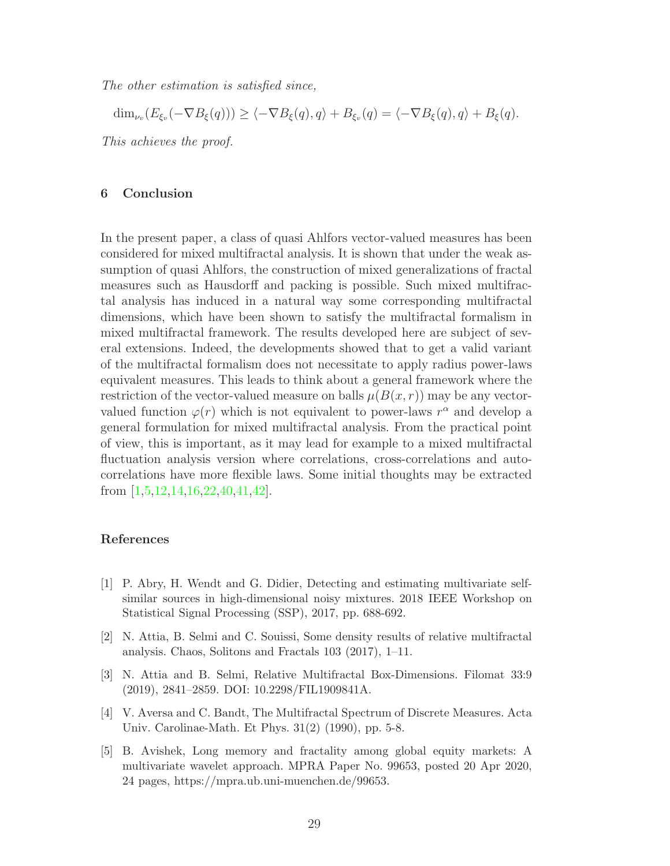The other estimation is satisfied since,

 $\dim_{\nu_v}(E_{\xi_v}(-\nabla B_{\xi}(q))) \ge \langle -\nabla B_{\xi}(q), q \rangle + B_{\xi_v}(q) = \langle -\nabla B_{\xi}(q), q \rangle + B_{\xi}(q).$ This achieves the proof.

#### 6 Conclusion

In the present paper, a class of quasi Ahlfors vector-valued measures has been considered for mixed multifractal analysis. It is shown that under the weak assumption of quasi Ahlfors, the construction of mixed generalizations of fractal measures such as Hausdorff and packing is possible. Such mixed multifractal analysis has induced in a natural way some corresponding multifractal dimensions, which have been shown to satisfy the multifractal formalism in mixed multifractal framework. The results developed here are subject of several extensions. Indeed, the developments showed that to get a valid variant of the multifractal formalism does not necessitate to apply radius power-laws equivalent measures. This leads to think about a general framework where the restriction of the vector-valued measure on balls  $\mu(B(x, r))$  may be any vectorvalued function  $\varphi(r)$  which is not equivalent to power-laws  $r^{\alpha}$  and develop a general formulation for mixed multifractal analysis. From the practical point of view, this is important, as it may lead for example to a mixed multifractal fluctuation analysis version where correlations, cross-correlations and autocorrelations have more flexible laws. Some initial thoughts may be extracted from [\[1,](#page-28-2)[5,](#page-28-3)[12,](#page-29-5)[14,](#page-29-6)[16,](#page-29-4)[22,](#page-30-7)[40,](#page-31-10)[41,](#page-31-6)[42\]](#page-31-7).

#### References

- <span id="page-28-2"></span>[1] P. Abry, H. Wendt and G. Didier, Detecting and estimating multivariate selfsimilar sources in high-dimensional noisy mixtures. 2018 IEEE Workshop on Statistical Signal Processing (SSP), 2017, pp. 688-692.
- <span id="page-28-0"></span>[2] N. Attia, B. Selmi and C. Souissi, Some density results of relative multifractal analysis. Chaos, Solitons and Fractals 103 (2017), 1–11.
- <span id="page-28-1"></span>[3] N. Attia and B. Selmi, Relative Multifractal Box-Dimensions. Filomat 33:9 (2019), 2841–2859. DOI: 10.2298/FIL1909841A.
- <span id="page-28-4"></span>[4] V. Aversa and C. Bandt, The Multifractal Spectrum of Discrete Measures. Acta Univ. Carolinae-Math. Et Phys. 31(2) (1990), pp. 5-8.
- <span id="page-28-3"></span>[5] B. Avishek, Long memory and fractality among global equity markets: A multivariate wavelet approach. MPRA Paper No. 99653, posted 20 Apr 2020, 24 pages, https://mpra.ub.uni-muenchen.de/99653.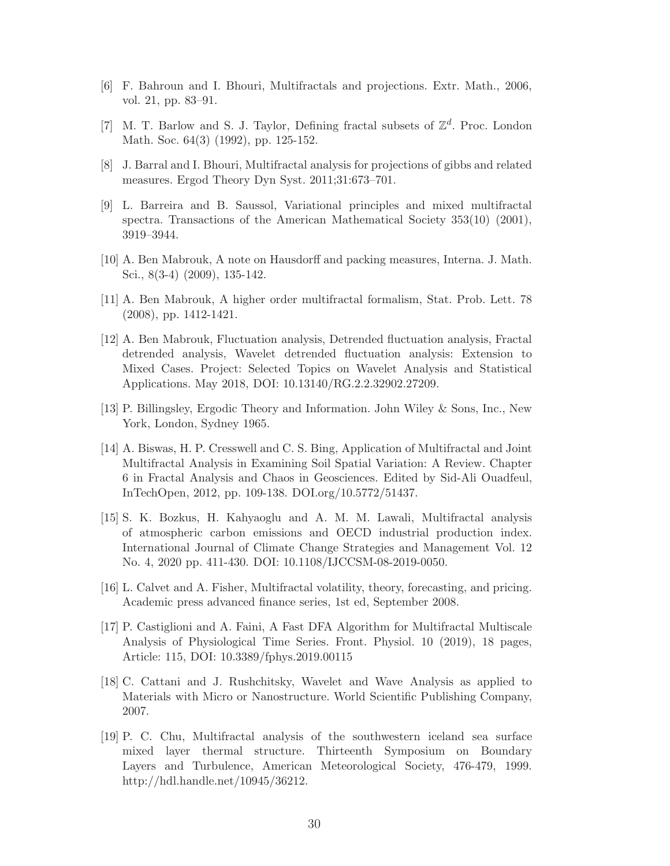- <span id="page-29-11"></span><span id="page-29-10"></span>[6] F. Bahroun and I. Bhouri, Multifractals and projections. Extr. Math., 2006, vol. 21, pp. 83–91.
- <span id="page-29-12"></span>[7] M. T. Barlow and S. J. Taylor, Defining fractal subsets of  $\mathbb{Z}^d$ . Proc. London Math. Soc. 64(3) (1992), pp. 125-152.
- <span id="page-29-0"></span>[8] J. Barral and I. Bhouri, Multifractal analysis for projections of gibbs and related measures. Ergod Theory Dyn Syst. 2011;31:673–701.
- [9] L. Barreira and B. Saussol, Variational principles and mixed multifractal spectra. Transactions of the American Mathematical Society 353(10) (2001), 3919–3944.
- <span id="page-29-2"></span><span id="page-29-1"></span>[10] A. Ben Mabrouk, A note on Hausdorff and packing measures, Interna. J. Math. Sci., 8(3-4) (2009), 135-142.
- <span id="page-29-5"></span>[11] A. Ben Mabrouk, A higher order multifractal formalism, Stat. Prob. Lett. 78 (2008), pp. 1412-1421.
- [12] A. Ben Mabrouk, Fluctuation analysis, Detrended fluctuation analysis, Fractal detrended analysis, Wavelet detrended fluctuation analysis: Extension to Mixed Cases. Project: Selected Topics on Wavelet Analysis and Statistical Applications. May 2018, DOI: 10.13140/RG.2.2.32902.27209.
- <span id="page-29-6"></span><span id="page-29-3"></span>[13] P. Billingsley, Ergodic Theory and Information. John Wiley & Sons, Inc., New York, London, Sydney 1965.
- [14] A. Biswas, H. P. Cresswell and C. S. Bing, Application of Multifractal and Joint Multifractal Analysis in Examining Soil Spatial Variation: A Review. Chapter 6 in Fractal Analysis and Chaos in Geosciences. Edited by Sid-Ali Ouadfeul, InTechOpen, 2012, pp. 109-138. DOI.org/10.5772/51437.
- <span id="page-29-7"></span>[15] S. K. Bozkus, H. Kahyaoglu and A. M. M. Lawali, Multifractal analysis of atmospheric carbon emissions and OECD industrial production index. International Journal of Climate Change Strategies and Management Vol. 12 No. 4, 2020 pp. 411-430. DOI: 10.1108/IJCCSM-08-2019-0050.
- <span id="page-29-9"></span><span id="page-29-4"></span>[16] L. Calvet and A. Fisher, Multifractal volatility, theory, forecasting, and pricing. Academic press advanced finance series, 1st ed, September 2008.
- [17] P. Castiglioni and A. Faini, A Fast DFA Algorithm for Multifractal Multiscale Analysis of Physiological Time Series. Front. Physiol. 10 (2019), 18 pages, Article: 115, DOI: 10.3389/fphys.2019.00115
- [18] C. Cattani and J. Rushchitsky, Wavelet and Wave Analysis as applied to Materials with Micro or Nanostructure. World Scientific Publishing Company, 2007.
- <span id="page-29-8"></span>[19] P. C. Chu, Multifractal analysis of the southwestern iceland sea surface mixed layer thermal structure. Thirteenth Symposium on Boundary Layers and Turbulence, American Meteorological Society, 476-479, 1999. http://hdl.handle.net/10945/36212.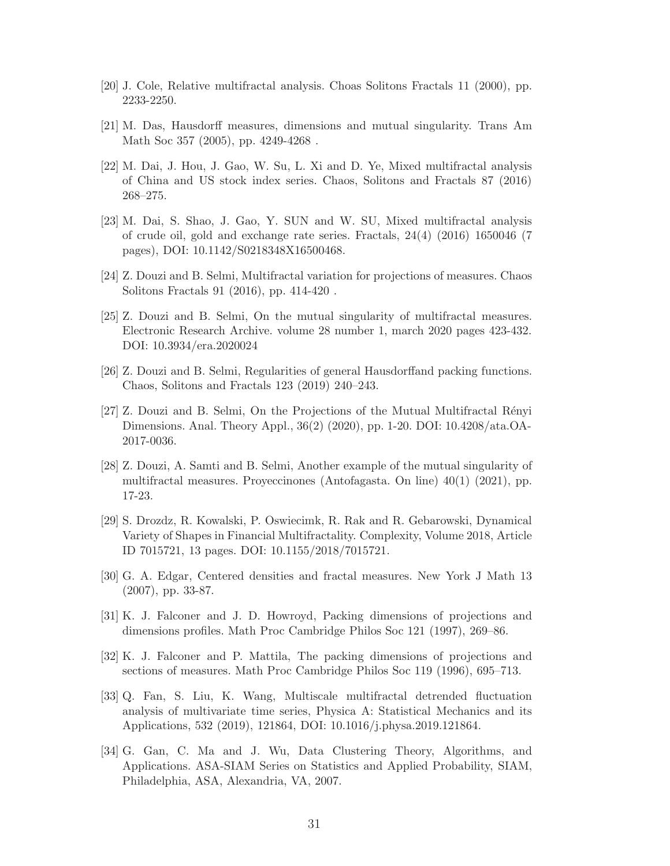- <span id="page-30-3"></span><span id="page-30-0"></span>[20] J. Cole, Relative multifractal analysis. Choas Solitons Fractals 11 (2000), pp. 2233-2250.
- <span id="page-30-7"></span>[21] M. Das, Hausdorff measures, dimensions and mutual singularity. Trans Am Math Soc 357 (2005), pp. 4249-4268 .
- [22] M. Dai, J. Hou, J. Gao, W. Su, L. Xi and D. Ye, Mixed multifractal analysis of China and US stock index series. Chaos, Solitons and Fractals 87 (2016) 268–275.
- <span id="page-30-11"></span>[23] M. Dai, S. Shao, J. Gao, Y. SUN and W. SU, Mixed multifractal analysis of crude oil, gold and exchange rate series. Fractals, 24(4) (2016) 1650046 (7 pages), DOI: 10.1142/S0218348X16500468.
- <span id="page-30-8"></span><span id="page-30-1"></span>[24] Z. Douzi and B. Selmi, Multifractal variation for projections of measures. Chaos Solitons Fractals 91 (2016), pp. 414-420 .
- [25] Z. Douzi and B. Selmi, On the mutual singularity of multifractal measures. Electronic Research Archive. volume 28 number 1, march 2020 pages 423-432. DOI: 10.3934/era.2020024
- <span id="page-30-10"></span>[26] Z. Douzi and B. Selmi, Regularities of general Hausdorffand packing functions. Chaos, Solitons and Fractals 123 (2019) 240–243.
- [27] Z. Douzi and B. Selmi, On the Projections of the Mutual Multifractal R´enyi Dimensions. Anal. Theory Appl., 36(2) (2020), pp. 1-20. DOI: 10.4208/ata.OA-2017-0036.
- <span id="page-30-9"></span>[28] Z. Douzi, A. Samti and B. Selmi, Another example of the mutual singularity of multifractal measures. Proyeccinones (Antofagasta. On line) 40(1) (2021), pp. 17-23.
- <span id="page-30-5"></span>[29] S. Drozdz, R. Kowalski, P. Oswiecimk, R. Rak and R. Gebarowski, Dynamical Variety of Shapes in Financial Multifractality. Complexity, Volume 2018, Article ID 7015721, 13 pages. DOI: 10.1155/2018/7015721.
- <span id="page-30-12"></span><span id="page-30-2"></span>[30] G. A. Edgar, Centered densities and fractal measures. New York J Math 13 (2007), pp. 33-87.
- [31] K. J. Falconer and J. D. Howroyd, Packing dimensions of projections and dimensions profiles. Math Proc Cambridge Philos Soc 121 (1997), 269–86.
- <span id="page-30-13"></span>[32] K. J. Falconer and P. Mattila, The packing dimensions of projections and sections of measures. Math Proc Cambridge Philos Soc 119 (1996), 695–713.
- <span id="page-30-6"></span>[33] Q. Fan, S. Liu, K. Wang, Multiscale multifractal detrended fluctuation analysis of multivariate time series, Physica A: Statistical Mechanics and its Applications, 532 (2019), 121864, DOI: 10.1016/j.physa.2019.121864.
- <span id="page-30-4"></span>[34] G. Gan, C. Ma and J. Wu, Data Clustering Theory, Algorithms, and Applications. ASA-SIAM Series on Statistics and Applied Probability, SIAM, Philadelphia, ASA, Alexandria, VA, 2007.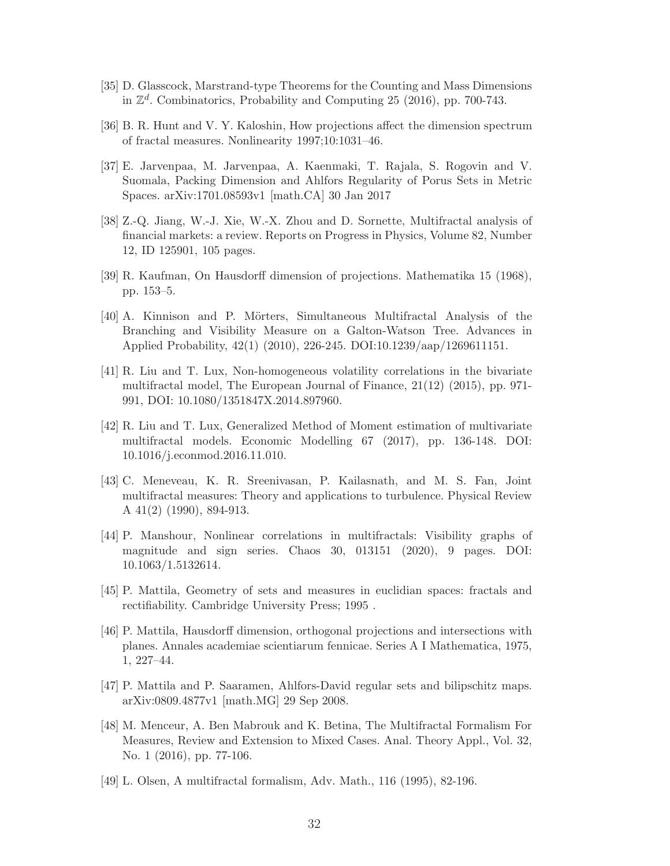- <span id="page-31-12"></span><span id="page-31-11"></span>[35] D. Glasscock, Marstrand-type Theorems for the Counting and Mass Dimensions in  $\mathbb{Z}^d$ . Combinatorics, Probability and Computing 25 (2016), pp. 700-743.
- <span id="page-31-1"></span>[36] B. R. Hunt and V. Y. Kaloshin, How projections affect the dimension spectrum of fractal measures. Nonlinearity 1997;10:1031–46.
- [37] E. Jarvenpaa, M. Jarvenpaa, A. Kaenmaki, T. Rajala, S. Rogovin and V. Suomala, Packing Dimension and Ahlfors Regularity of Porus Sets in Metric Spaces. arXiv:1701.08593v1 [math.CA] 30 Jan 2017
- <span id="page-31-8"></span>[38] Z.-Q. Jiang, W.-J. Xie, W.-X. Zhou and D. Sornette, Multifractal analysis of financial markets: a review. Reports on Progress in Physics, Volume 82, Number 12, ID 125901, 105 pages.
- <span id="page-31-13"></span><span id="page-31-10"></span>[39] R. Kaufman, On Hausdorff dimension of projections. Mathematika 15 (1968), pp. 153–5.
- [40] A. Kinnison and P. Mörters, Simultaneous Multifractal Analysis of the Branching and Visibility Measure on a Galton-Watson Tree. Advances in Applied Probability, 42(1) (2010), 226-245. DOI:10.1239/aap/1269611151.
- <span id="page-31-6"></span>[41] R. Liu and T. Lux, Non-homogeneous volatility correlations in the bivariate multifractal model, The European Journal of Finance, 21(12) (2015), pp. 971- 991, DOI: 10.1080/1351847X.2014.897960.
- <span id="page-31-7"></span>[42] R. Liu and T. Lux, Generalized Method of Moment estimation of multivariate multifractal models. Economic Modelling 67 (2017), pp. 136-148. DOI: 10.1016/j.econmod.2016.11.010.
- <span id="page-31-5"></span>[43] C. Meneveau, K. R. Sreenivasan, P. Kailasnath, and M. S. Fan, Joint multifractal measures: Theory and applications to turbulence. Physical Review A 41(2) (1990), 894-913.
- <span id="page-31-9"></span>[44] P. Manshour, Nonlinear correlations in multifractals: Visibility graphs of magnitude and sign series. Chaos 30, 013151 (2020), 9 pages. DOI: 10.1063/1.5132614.
- <span id="page-31-14"></span><span id="page-31-2"></span>[45] P. Mattila, Geometry of sets and measures in euclidian spaces: fractals and rectifiability. Cambridge University Press; 1995 .
- [46] P. Mattila, Hausdorff dimension, orthogonal projections and intersections with planes. Annales academiae scientiarum fennicae. Series A I Mathematica, 1975, 1, 227–44.
- <span id="page-31-3"></span>[47] P. Mattila and P. Saaramen, Ahlfors-David regular sets and bilipschitz maps. arXiv:0809.4877v1 [math.MG] 29 Sep 2008.
- <span id="page-31-4"></span>[48] M. Menceur, A. Ben Mabrouk and K. Betina, The Multifractal Formalism For Measures, Review and Extension to Mixed Cases. Anal. Theory Appl., Vol. 32, No. 1 (2016), pp. 77-106.
- <span id="page-31-0"></span>[49] L. Olsen, A multifractal formalism, Adv. Math., 116 (1995), 82-196.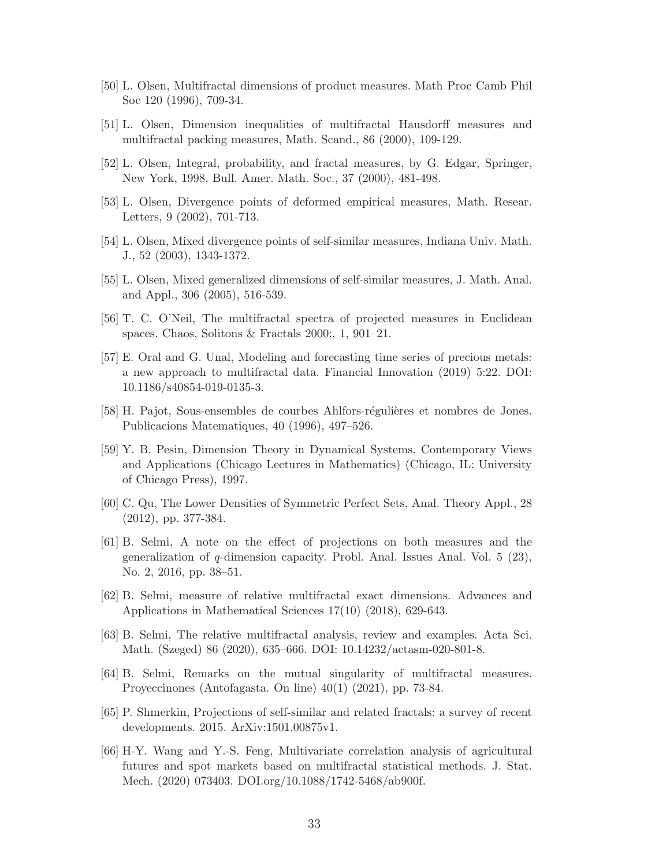- <span id="page-32-12"></span><span id="page-32-0"></span>[50] L. Olsen, Multifractal dimensions of product measures. Math Proc Camb Phil Soc 120 (1996), 709-34.
- <span id="page-32-1"></span>[51] L. Olsen, Dimension inequalities of multifractal Hausdorff measures and multifractal packing measures, Math. Scand., 86 (2000), 109-129.
- <span id="page-32-2"></span>[52] L. Olsen, Integral, probability, and fractal measures, by G. Edgar, Springer, New York, 1998, Bull. Amer. Math. Soc., 37 (2000), 481-498.
- <span id="page-32-3"></span>[53] L. Olsen, Divergence points of deformed empirical measures, Math. Resear. Letters, 9 (2002), 701-713.
- <span id="page-32-5"></span>[54] L. Olsen, Mixed divergence points of self-similar measures, Indiana Univ. Math. J., 52 (2003), 1343-1372.
- <span id="page-32-13"></span>[55] L. Olsen, Mixed generalized dimensions of self-similar measures, J. Math. Anal. and Appl., 306 (2005), 516-539.
- <span id="page-32-11"></span>[56] T. C. O'Neil, The multifractal spectra of projected measures in Euclidean spaces. Chaos, Solitons & Fractals 2000;, 1, 901–21.
- [57] E. Oral and G. Unal, Modeling and forecasting time series of precious metals: a new approach to multifractal data. Financial Innovation (2019) 5:22. DOI: 10.1186/s40854-019-0135-3.
- <span id="page-32-7"></span><span id="page-32-6"></span>[58] H. Pajot, Sous-ensembles de courbes Ahlfors-régulières et nombres de Jones. Publicacions Matematiques, 40 (1996), 497–526.
- [59] Y. B. Pesin, Dimension Theory in Dynamical Systems. Contemporary Views and Applications (Chicago Lectures in Mathematics) (Chicago, IL: University of Chicago Press), 1997.
- <span id="page-32-14"></span><span id="page-32-4"></span>[60] C. Qu, The Lower Densities of Symmetric Perfect Sets, Anal. Theory Appl., 28 (2012), pp. 377-384.
- [61] B. Selmi, A note on the effect of projections on both measures and the generalization of q-dimension capacity. Probl. Anal. Issues Anal. Vol. 5 (23), No. 2, 2016, pp. 38–51.
- <span id="page-32-10"></span>[62] B. Selmi, measure of relative multifractal exact dimensions. Advances and Applications in Mathematical Sciences 17(10) (2018), 629-643.
- [63] B. Selmi, The relative multifractal analysis, review and examples. Acta Sci. Math. (Szeged) 86 (2020), 635–666. DOI: 10.14232/actasm-020-801-8.
- <span id="page-32-9"></span>[64] B. Selmi, Remarks on the mutual singularity of multifractal measures. Proyeccinones (Antofagasta. On line) 40(1) (2021), pp. 73-84.
- <span id="page-32-15"></span><span id="page-32-8"></span>[65] P. Shmerkin, Projections of self-similar and related fractals: a survey of recent developments. 2015. ArXiv:1501.00875v1.
- [66] H-Y. Wang and Y.-S. Feng, Multivariate correlation analysis of agricultural futures and spot markets based on multifractal statistical methods. J. Stat. Mech. (2020) 073403. DOI.org/10.1088/1742-5468/ab900f.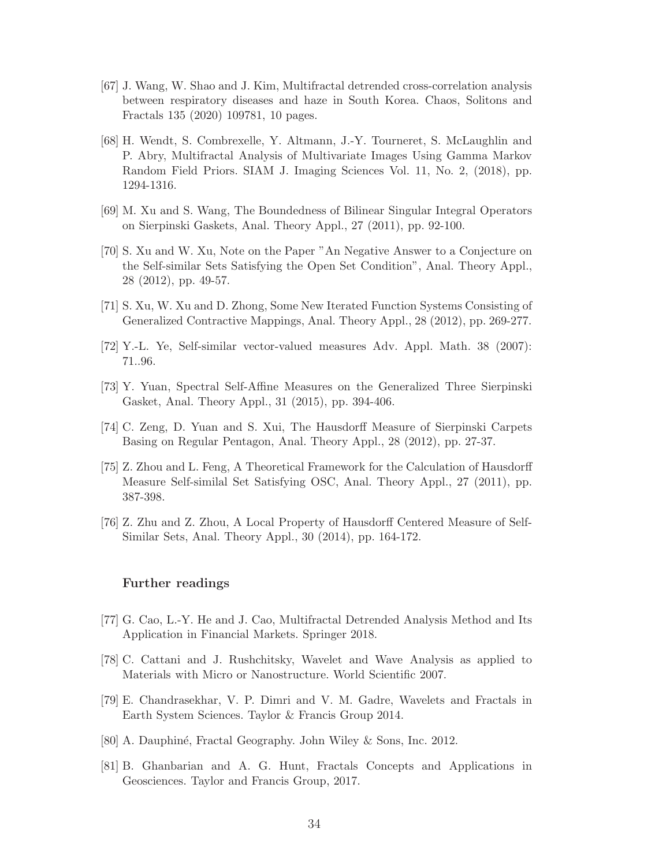- <span id="page-33-14"></span>[67] J. Wang, W. Shao and J. Kim, Multifractal detrended cross-correlation analysis between respiratory diseases and haze in South Korea. Chaos, Solitons and Fractals 135 (2020) 109781, 10 pages.
- <span id="page-33-13"></span>[68] H. Wendt, S. Combrexelle, Y. Altmann, J.-Y. Tourneret, S. McLaughlin and P. Abry, Multifractal Analysis of Multivariate Images Using Gamma Markov Random Field Priors. SIAM J. Imaging Sciences Vol. 11, No. 2, (2018), pp. 1294-1316.
- <span id="page-33-1"></span><span id="page-33-0"></span>[69] M. Xu and S. Wang, The Boundedness of Bilinear Singular Integral Operators on Sierpinski Gaskets, Anal. Theory Appl., 27 (2011), pp. 92-100.
- [70] S. Xu and W. Xu, Note on the Paper "An Negative Answer to a Conjecture on the Self-similar Sets Satisfying the Open Set Condition", Anal. Theory Appl., 28 (2012), pp. 49-57.
- <span id="page-33-7"></span><span id="page-33-2"></span>[71] S. Xu, W. Xu and D. Zhong, Some New Iterated Function Systems Consisting of Generalized Contractive Mappings, Anal. Theory Appl., 28 (2012), pp. 269-277.
- <span id="page-33-3"></span>[72] Y.-L. Ye, Self-similar vector-valued measures Adv. Appl. Math. 38 (2007): 71..96.
- <span id="page-33-4"></span>[73] Y. Yuan, Spectral Self-Affine Measures on the Generalized Three Sierpinski Gasket, Anal. Theory Appl., 31 (2015), pp. 394-406.
- [74] C. Zeng, D. Yuan and S. Xui, The Hausdorff Measure of Sierpinski Carpets Basing on Regular Pentagon, Anal. Theory Appl., 28 (2012), pp. 27-37.
- <span id="page-33-5"></span>[75] Z. Zhou and L. Feng, A Theoretical Framework for the Calculation of Hausdorff Measure Self-similal Set Satisfying OSC, Anal. Theory Appl., 27 (2011), pp. 387-398.
- <span id="page-33-6"></span>[76] Z. Zhu and Z. Zhou, A Local Property of Hausdorff Centered Measure of Self-Similar Sets, Anal. Theory Appl., 30 (2014), pp. 164-172.

## Further readings

- <span id="page-33-9"></span><span id="page-33-8"></span>[77] G. Cao, L.-Y. He and J. Cao, Multifractal Detrended Analysis Method and Its Application in Financial Markets. Springer 2018.
- <span id="page-33-10"></span>[78] C. Cattani and J. Rushchitsky, Wavelet and Wave Analysis as applied to Materials with Micro or Nanostructure. World Scientific 2007.
- <span id="page-33-11"></span>[79] E. Chandrasekhar, V. P. Dimri and V. M. Gadre, Wavelets and Fractals in Earth System Sciences. Taylor & Francis Group 2014.
- <span id="page-33-12"></span>[80] A. Dauphiné, Fractal Geography. John Wiley & Sons, Inc. 2012.
- [81] B. Ghanbarian and A. G. Hunt, Fractals Concepts and Applications in Geosciences. Taylor and Francis Group, 2017.